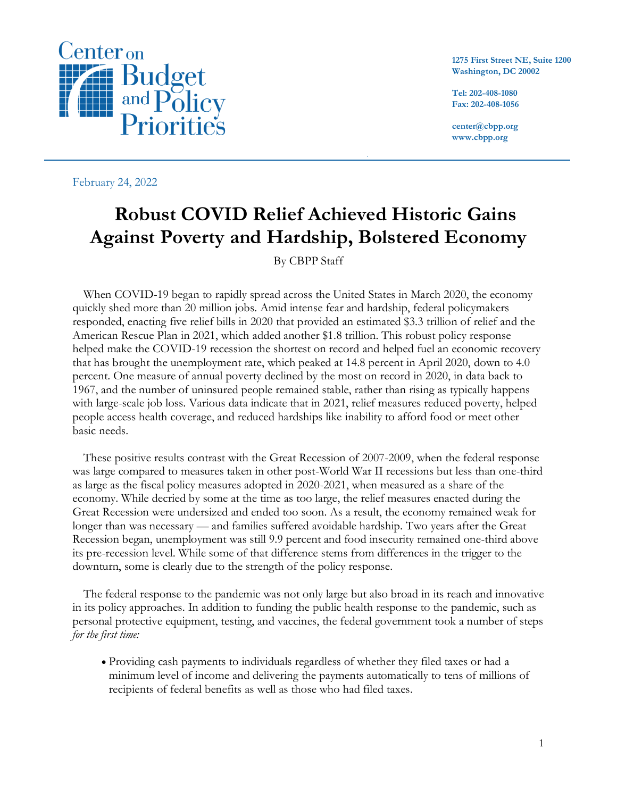

**1275 First Street NE, Suite 1200 Washington, DC 20002**

**Tel: 202-408-1080 Fax: 202-408-1056**

**center@cbpp.org www.cbpp.org**

February 24, 2022

# **Robust COVID Relief Achieved Historic Gains Against Poverty and Hardship, Bolstered Economy**

 $\ddot{}$ 

## By CBPP Staff

When COVID-19 began to rapidly spread across the United States in March 2020, the economy quickly shed more than 20 million jobs. Amid intense fear and hardship, federal policymakers responded, enacting five relief bills in 2020 that provided an estimated \$3.3 trillion of relief and the American Rescue Plan in 2021, which added another \$1.8 trillion. This robust policy response helped make the COVID-19 recession the shortest on record and helped fuel an economic recovery that has brought the unemployment rate, which peaked at 14.8 percent in April 2020, down to 4.0 percent. One measure of annual poverty declined by the most on record in 2020, in data back to 1967, and the number of uninsured people remained stable, rather than rising as typically happens with large-scale job loss. Various data indicate that in 2021, relief measures reduced poverty, helped people access health coverage, and reduced hardships like inability to afford food or meet other basic needs.

These positive results contrast with the Great Recession of 2007-2009, when the federal response was large compared to measures taken in other post-World War II recessions but less than one-third as large as the fiscal policy measures adopted in 2020-2021, when measured as a share of the economy. While decried by some at the time as too large, the relief measures enacted during the Great Recession were undersized and ended too soon. As a result, the economy remained weak for longer than was necessary — and families suffered avoidable hardship. Two years after the Great Recession began, unemployment was still 9.9 percent and food insecurity remained one-third above its pre-recession level. While some of that difference stems from differences in the trigger to the downturn, some is clearly due to the strength of the policy response.

The federal response to the pandemic was not only large but also broad in its reach and innovative in its policy approaches. In addition to funding the public health response to the pandemic, such as personal protective equipment, testing, and vaccines, the federal government took a number of steps *for the first time:*

• Providing cash payments to individuals regardless of whether they filed taxes or had a minimum level of income and delivering the payments automatically to tens of millions of recipients of federal benefits as well as those who had filed taxes.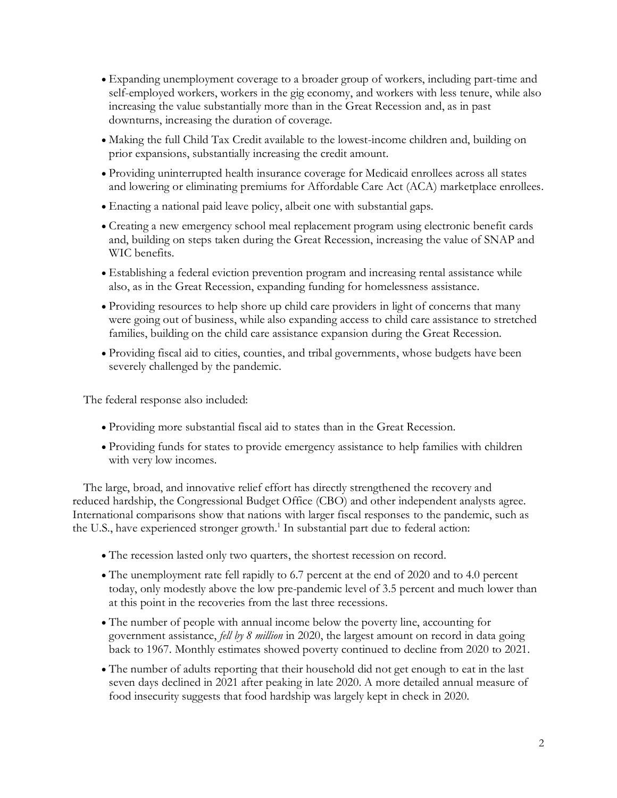- Expanding unemployment coverage to a broader group of workers, including part-time and self-employed workers, workers in the gig economy, and workers with less tenure, while also increasing the value substantially more than in the Great Recession and, as in past downturns, increasing the duration of coverage.
- Making the full Child Tax Credit available to the lowest-income children and, building on prior expansions, substantially increasing the credit amount.
- Providing uninterrupted health insurance coverage for Medicaid enrollees across all states and lowering or eliminating premiums for Affordable Care Act (ACA) marketplace enrollees.
- Enacting a national paid leave policy, albeit one with substantial gaps.
- Creating a new emergency school meal replacement program using electronic benefit cards and, building on steps taken during the Great Recession, increasing the value of SNAP and WIC benefits.
- Establishing a federal eviction prevention program and increasing rental assistance while also, as in the Great Recession, expanding funding for homelessness assistance.
- Providing resources to help shore up child care providers in light of concerns that many were going out of business, while also expanding access to child care assistance to stretched families, building on the child care assistance expansion during the Great Recession.
- Providing fiscal aid to cities, counties, and tribal governments, whose budgets have been severely challenged by the pandemic.

The federal response also included:

- Providing more substantial fiscal aid to states than in the Great Recession.
- Providing funds for states to provide emergency assistance to help families with children with very low incomes.

The large, broad, and innovative relief effort has directly strengthened the recovery and reduced hardship, the Congressional Budget Office (CBO) and other independent analysts agree. International comparisons show that nations with larger fiscal responses to the pandemic, such as the U.S., have experienced stronger growth. 1 In substantial part due to federal action:

- The recession lasted only two quarters, the shortest recession on record.
- The unemployment rate fell rapidly to 6.7 percent at the end of 2020 and to 4.0 percent today, only modestly above the low pre-pandemic level of 3.5 percent and much lower than at this point in the recoveries from the last three recessions.
- The number of people with annual income below the poverty line, accounting for government assistance, *fell by 8 million* in 2020, the largest amount on record in data going back to 1967. Monthly estimates showed poverty continued to decline from 2020 to 2021.
- The number of adults reporting that their household did not get enough to eat in the last seven days declined in 2021 after peaking in late 2020. A more detailed annual measure of food insecurity suggests that food hardship was largely kept in check in 2020.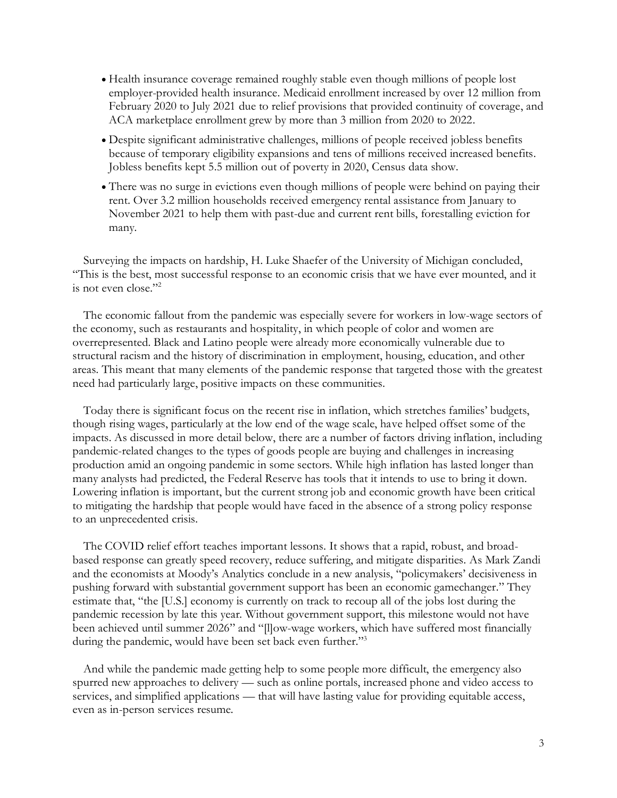- Health insurance coverage remained roughly stable even though millions of people lost employer-provided health insurance. Medicaid enrollment increased by over 12 million from February 2020 to July 2021 due to relief provisions that provided continuity of coverage, and ACA marketplace enrollment grew by more than 3 million from 2020 to 2022.
- Despite significant administrative challenges, millions of people received jobless benefits because of temporary eligibility expansions and tens of millions received increased benefits. Jobless benefits kept 5.5 million out of poverty in 2020, Census data show.
- There was no surge in evictions even though millions of people were behind on paying their rent. Over 3.2 million households received emergency rental assistance from January to November 2021 to help them with past-due and current rent bills, forestalling eviction for many.

Surveying the impacts on hardship, H. Luke Shaefer of the University of Michigan concluded, "This is the best, most successful response to an economic crisis that we have ever mounted, and it is not even close."<sup>2</sup>

The economic fallout from the pandemic was especially severe for workers in low-wage sectors of the economy, such as restaurants and hospitality, in which people of color and women are overrepresented. Black and Latino people were already more economically vulnerable due to structural racism and the history of discrimination in employment, housing, education, and other areas. This meant that many elements of the pandemic response that targeted those with the greatest need had particularly large, positive impacts on these communities.

Today there is significant focus on the recent rise in inflation, which stretches families' budgets, though rising wages, particularly at the low end of the wage scale, have helped offset some of the impacts. As discussed in more detail below, there are a number of factors driving inflation, including pandemic-related changes to the types of goods people are buying and challenges in increasing production amid an ongoing pandemic in some sectors. While high inflation has lasted longer than many analysts had predicted, the Federal Reserve has tools that it intends to use to bring it down. Lowering inflation is important, but the current strong job and economic growth have been critical to mitigating the hardship that people would have faced in the absence of a strong policy response to an unprecedented crisis.

The COVID relief effort teaches important lessons. It shows that a rapid, robust, and broadbased response can greatly speed recovery, reduce suffering, and mitigate disparities. As Mark Zandi and the economists at Moody's Analytics conclude in a new analysis, "policymakers' decisiveness in pushing forward with substantial government support has been an economic gamechanger." They estimate that, "the [U.S.] economy is currently on track to recoup all of the jobs lost during the pandemic recession by late this year. Without government support, this milestone would not have been achieved until summer 2026" and "[l]ow-wage workers, which have suffered most financially during the pandemic, would have been set back even further."<sup>3</sup>

And while the pandemic made getting help to some people more difficult, the emergency also spurred new approaches to delivery — such as online portals, increased phone and video access to services, and simplified applications — that will have lasting value for providing equitable access, even as in-person services resume.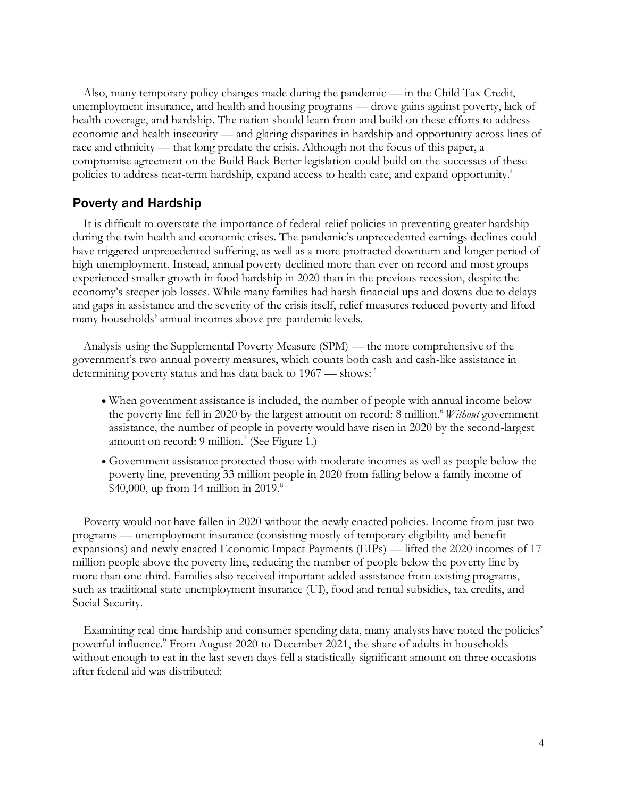Also, many temporary policy changes made during the pandemic — in the Child Tax Credit, unemployment insurance, and health and housing programs — drove gains against poverty, lack of health coverage, and hardship. The nation should learn from and build on these efforts to address economic and health insecurity — and glaring disparities in hardship and opportunity across lines of race and ethnicity — that long predate the crisis. Although not the focus of this paper, a compromise agreement on the Build Back Better legislation could build on the successes of these policies to address near-term hardship, expand access to health care, and expand opportunity. 4

## Poverty and Hardship

It is difficult to overstate the importance of federal relief policies in preventing greater hardship during the twin health and economic crises. The pandemic's unprecedented earnings declines could have triggered unprecedented suffering, as well as a more protracted downturn and longer period of high unemployment. Instead, annual poverty declined more than ever on record and most groups experienced smaller growth in food hardship in 2020 than in the previous recession, despite the economy's steeper job losses. While many families had harsh financial ups and downs due to delays and gaps in assistance and the severity of the crisis itself, relief measures reduced poverty and lifted many households' annual incomes above pre-pandemic levels.

Analysis using the Supplemental Poverty Measure (SPM) — the more comprehensive of the government's two annual poverty measures, which counts both cash and cash-like assistance in determining poverty status and has data back to 1967 — shows:<sup>5</sup>

- When government assistance is included, the number of people with annual income below the poverty line fell in 2020 by the largest amount on record: 8 million. <sup>6</sup>*Without* government assistance, the number of people in poverty would have risen in 2020 by the second-largest amount on record: 9 million.<sup>7</sup> (See Figure 1.)
- Government assistance protected those with moderate incomes as well as people below the poverty line, preventing 33 million people in 2020 from falling below a family income of  $$40,000$ , up from 14 million in 2019.<sup>8</sup>

Poverty would not have fallen in 2020 without the newly enacted policies. Income from just two programs — unemployment insurance (consisting mostly of temporary eligibility and benefit expansions) and newly enacted Economic Impact Payments (EIPs) — lifted the 2020 incomes of 17 million people above the poverty line, reducing the number of people below the poverty line by more than one-third. Families also received important added assistance from existing programs, such as traditional state unemployment insurance (UI), food and rental subsidies, tax credits, and Social Security.

Examining real-time hardship and consumer spending data, many analysts have noted the policies' powerful influence.<sup>9</sup> From August 2020 to December 2021, the share of adults in households without enough to eat in the last seven days fell a statistically significant amount on three occasions after federal aid was distributed: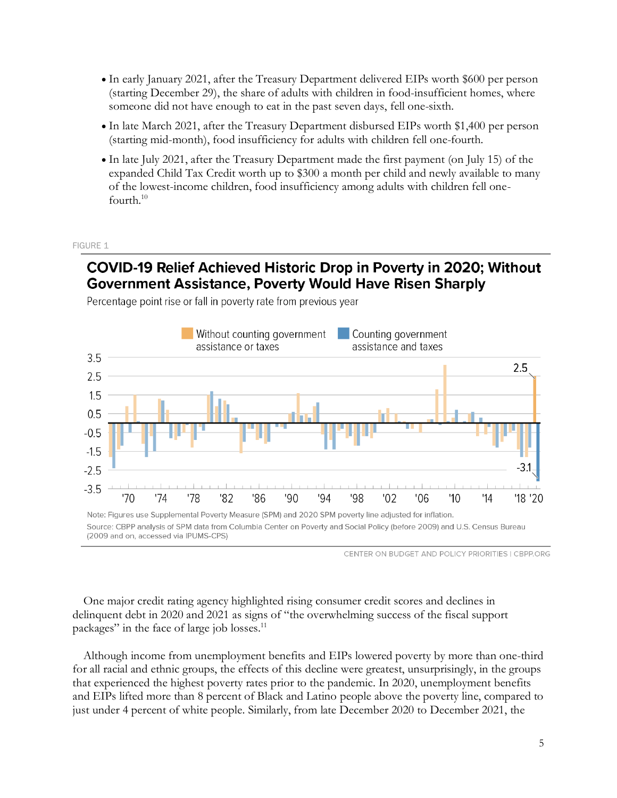- In early January 2021, after the Treasury Department delivered EIPs worth \$600 per person (starting December 29), the share of adults with children in food-insufficient homes, where someone did not have enough to eat in the past seven days, fell one-sixth.
- In late March 2021, after the Treasury Department disbursed EIPs worth \$1,400 per person (starting mid-month), food insufficiency for adults with children fell one-fourth.
- In late July 2021, after the Treasury Department made the first payment (on July 15) of the expanded Child Tax Credit worth up to \$300 a month per child and newly available to many of the lowest-income children, food insufficiency among adults with children fell onefourth.<sup>10</sup>

#### FIGURE 1

# COVID-19 Relief Achieved Historic Drop in Poverty in 2020; Without **Government Assistance, Poverty Would Have Risen Sharply**



Percentage point rise or fall in poverty rate from previous year

CENTER ON BUDGET AND POLICY PRIORITIES | CBPP.ORG

One major credit rating agency highlighted rising consumer credit scores and declines in delinquent debt in 2020 and 2021 as signs of "the overwhelming success of the fiscal support packages" in the face of large job losses.<sup>11</sup>

Although income from unemployment benefits and EIPs lowered poverty by more than one-third for all racial and ethnic groups, the effects of this decline were greatest, unsurprisingly, in the groups that experienced the highest poverty rates prior to the pandemic. In 2020, unemployment benefits and EIPs lifted more than 8 percent of Black and Latino people above the poverty line, compared to just under 4 percent of white people. Similarly, from late December 2020 to December 2021, the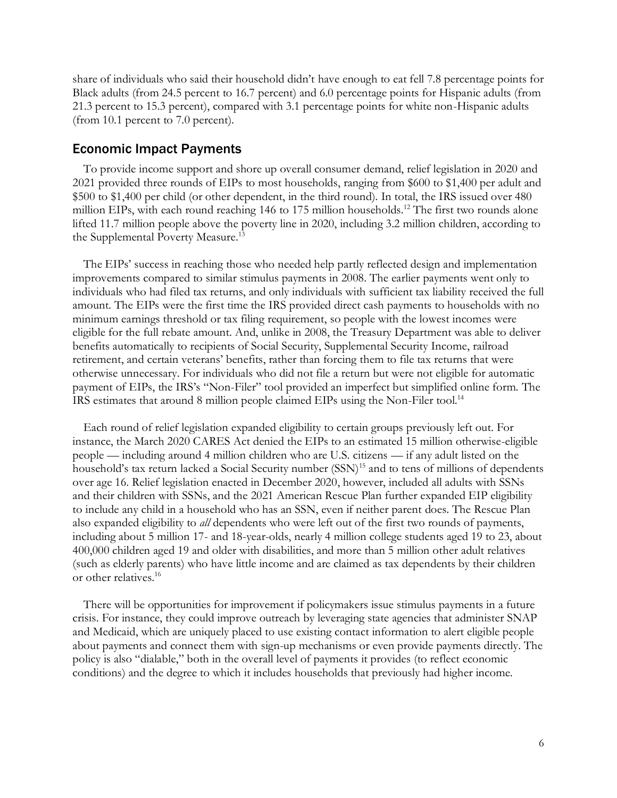share of individuals who said their household didn't have enough to eat fell 7.8 percentage points for Black adults (from 24.5 percent to 16.7 percent) and 6.0 percentage points for Hispanic adults (from 21.3 percent to 15.3 percent), compared with 3.1 percentage points for white non-Hispanic adults (from 10.1 percent to 7.0 percent).

#### Economic Impact Payments

To provide income support and shore up overall consumer demand, relief legislation in 2020 and 2021 provided three rounds of EIPs to most households, ranging from \$600 to \$1,400 per adult and \$500 to \$1,400 per child (or other dependent, in the third round). In total, the IRS issued over 480 million EIPs, with each round reaching 146 to 175 million households.<sup>12</sup> The first two rounds alone lifted 11.7 million people above the poverty line in 2020, including 3.2 million children, according to the Supplemental Poverty Measure.<sup>13</sup>

The EIPs' success in reaching those who needed help partly reflected design and implementation improvements compared to similar stimulus payments in 2008. The earlier payments went only to individuals who had filed tax returns, and only individuals with sufficient tax liability received the full amount. The EIPs were the first time the IRS provided direct cash payments to households with no minimum earnings threshold or tax filing requirement, so people with the lowest incomes were eligible for the full rebate amount. And, unlike in 2008, the Treasury Department was able to deliver benefits automatically to recipients of Social Security, Supplemental Security Income, railroad retirement, and certain veterans' benefits, rather than forcing them to file tax returns that were otherwise unnecessary. For individuals who did not file a return but were not eligible for automatic payment of EIPs, the IRS's "Non-Filer" tool provided an imperfect but simplified online form. The IRS estimates that around 8 million people claimed EIPs using the Non-Filer tool.<sup>14</sup>

Each round of relief legislation expanded eligibility to certain groups previously left out. For instance, the March 2020 CARES Act denied the EIPs to an estimated 15 million otherwise-eligible people — including around 4 million children who are U.S. citizens — if any adult listed on the household's tax return lacked a Social Security number (SSN)<sup>15</sup> and to tens of millions of dependents over age 16. Relief legislation enacted in December 2020, however, included all adults with SSNs and their children with SSNs, and the 2021 American Rescue Plan further expanded EIP eligibility to include any child in a household who has an SSN, even if neither parent does. The Rescue Plan also expanded eligibility to *all* dependents who were left out of the first two rounds of payments, including about 5 million 17- and 18-year-olds, nearly 4 million college students aged 19 to 23, about 400,000 children aged 19 and older with disabilities, and more than 5 million other adult relatives (such as elderly parents) who have little income and are claimed as tax dependents by their children or other relatives.<sup>16</sup>

There will be opportunities for improvement if policymakers issue stimulus payments in a future crisis. For instance, they could improve outreach by leveraging state agencies that administer SNAP and Medicaid, which are uniquely placed to use existing contact information to alert eligible people about payments and connect them with sign-up mechanisms or even provide payments directly. The policy is also "dialable," both in the overall level of payments it provides (to reflect economic conditions) and the degree to which it includes households that previously had higher income.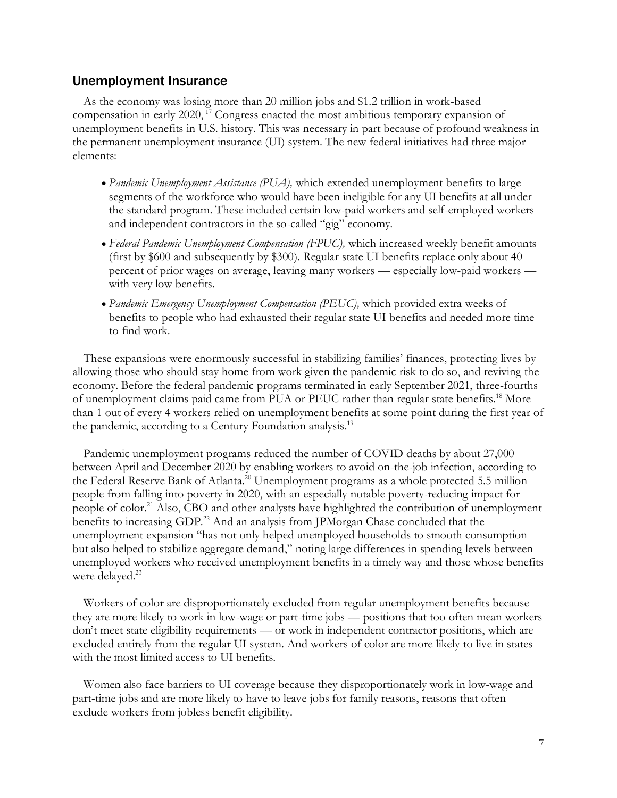#### Unemployment Insurance

As the economy was losing more than 20 million jobs and \$1.2 trillion in work-based compensation in early 2020, <sup>17</sup> Congress enacted the most ambitious temporary expansion of unemployment benefits in U.S. history. This was necessary in part because of profound weakness in the permanent unemployment insurance (UI) system. The new federal initiatives had three major elements:

- *Pandemic Unemployment Assistance (PUA),* which extended unemployment benefits to large segments of the workforce who would have been ineligible for any UI benefits at all under the standard program. These included certain low-paid workers and self-employed workers and independent contractors in the so-called "gig" economy.
- *Federal Pandemic Unemployment Compensation (FPUC),* which increased weekly benefit amounts (first by \$600 and subsequently by \$300). Regular state UI benefits replace only about 40 percent of prior wages on average, leaving many workers — especially low-paid workers with very low benefits.
- *Pandemic Emergency Unemployment Compensation (PEUC),* which provided extra weeks of benefits to people who had exhausted their regular state UI benefits and needed more time to find work.

These expansions were enormously successful in stabilizing families' finances, protecting lives by allowing those who should stay home from work given the pandemic risk to do so, and reviving the economy. Before the federal pandemic programs terminated in early September 2021, three-fourths of unemployment claims paid came from PUA or PEUC rather than regular state benefits.<sup>18</sup> More than 1 out of every 4 workers relied on unemployment benefits at some point during the first year of the pandemic, according to a Century Foundation analysis.<sup>19</sup>

Pandemic unemployment programs reduced the number of COVID deaths by about 27,000 between April and December 2020 by enabling workers to avoid on-the-job infection, according to the Federal Reserve Bank of Atlanta.<sup>20</sup> Unemployment programs as a whole protected 5.5 million people from falling into poverty in 2020, with an especially notable poverty-reducing impact for people of color.<sup>21</sup> Also, CBO and other analysts have highlighted the contribution of unemployment benefits to increasing GDP.<sup>22</sup> And an analysis from JPMorgan Chase concluded that the unemployment expansion "has not only helped unemployed households to smooth consumption but also helped to stabilize aggregate demand," noting large differences in spending levels between unemployed workers who received unemployment benefits in a timely way and those whose benefits were delayed. 23

Workers of color are disproportionately excluded from regular unemployment benefits because they are more likely to work in low-wage or part-time jobs — positions that too often mean workers don't meet state eligibility requirements — or work in independent contractor positions, which are excluded entirely from the regular UI system. And workers of color are more likely to live in states with the most limited access to UI benefits.

Women also face barriers to UI coverage because they disproportionately work in low-wage and part-time jobs and are more likely to have to leave jobs for family reasons, reasons that often exclude workers from jobless benefit eligibility.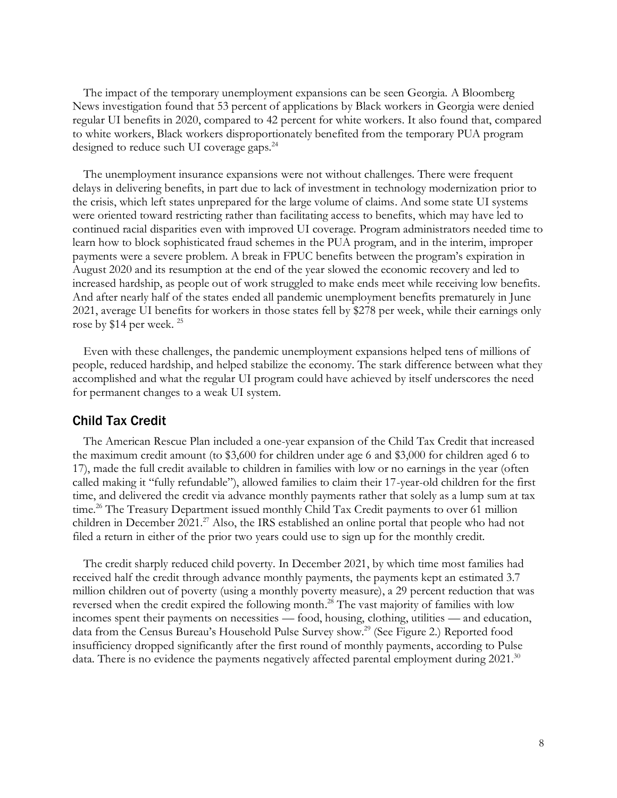The impact of the temporary unemployment expansions can be seen Georgia. A Bloomberg News investigation found that 53 percent of applications by Black workers in Georgia were denied regular UI benefits in 2020, compared to 42 percent for white workers. It also found that, compared to white workers, Black workers disproportionately benefited from the temporary PUA program designed to reduce such UI coverage gaps.<sup>24</sup>

The unemployment insurance expansions were not without challenges. There were frequent delays in delivering benefits, in part due to lack of investment in technology modernization prior to the crisis, which left states unprepared for the large volume of claims. And some state UI systems were oriented toward restricting rather than facilitating access to benefits, which may have led to continued racial disparities even with improved UI coverage. Program administrators needed time to learn how to block sophisticated fraud schemes in the PUA program, and in the interim, improper payments were a severe problem. A break in FPUC benefits between the program's expiration in August 2020 and its resumption at the end of the year slowed the economic recovery and led to increased hardship, as people out of work struggled to make ends meet while receiving low benefits. And after nearly half of the states ended all pandemic unemployment benefits prematurely in June 2021, average UI benefits for workers in those states fell by \$278 per week, while their earnings only rose by \$14 per week.<sup>25</sup>

Even with these challenges, the pandemic unemployment expansions helped tens of millions of people, reduced hardship, and helped stabilize the economy. The stark difference between what they accomplished and what the regular UI program could have achieved by itself underscores the need for permanent changes to a weak UI system.

#### Child Tax Credit

The American Rescue Plan included a one-year expansion of the Child Tax Credit that increased the maximum credit amount (to \$3,600 for children under age 6 and \$3,000 for children aged 6 to 17), made the full credit available to children in families with low or no earnings in the year (often called making it "fully refundable"), allowed families to claim their 17-year-old children for the first time, and delivered the credit via advance monthly payments rather that solely as a lump sum at tax time.<sup>26</sup> The Treasury Department issued monthly Child Tax Credit payments to over 61 million children in December 2021.<sup>27</sup> Also, the IRS established an online portal that people who had not filed a return in either of the prior two years could use to sign up for the monthly credit.

The credit sharply reduced child poverty. In December 2021, by which time most families had received half the credit through advance monthly payments, the payments kept an estimated 3.7 million children out of poverty (using a monthly poverty measure), a 29 percent reduction that was reversed when the credit expired the following month.<sup>28</sup> The vast majority of families with low incomes spent their payments on necessities — food, housing, clothing, utilities — and education, data from the Census Bureau's Household Pulse Survey show. <sup>29</sup> (See Figure 2.) Reported food insufficiency dropped significantly after the first round of monthly payments, according to Pulse data. There is no evidence the payments negatively affected parental employment during 2021.<sup>30</sup>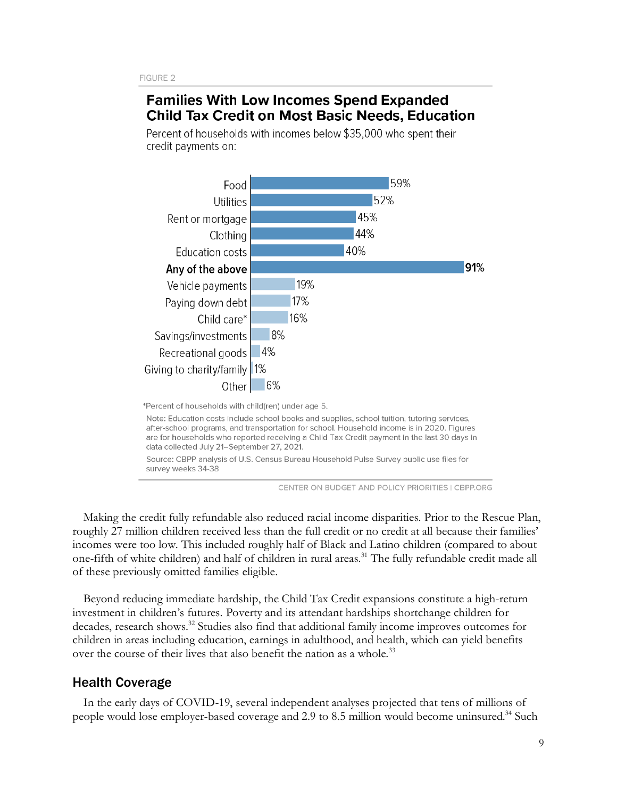# **Families With Low Incomes Spend Expanded Child Tax Credit on Most Basic Needs, Education**

Percent of households with incomes below \$35,000 who spent their credit payments on:



\*Percent of households with child(ren) under age 5.

Note: Education costs include school books and supplies, school tuition, tutoring services, after-school programs, and transportation for school. Household income is in 2020. Figures are for households who reported receiving a Child Tax Credit payment in the last 30 days in data collected July 21-September 27, 2021.

Source: CBPP analysis of U.S. Census Bureau Household Pulse Survey public use files for survey weeks 34-38

CENTER ON BUDGET AND POLICY PRIORITIES | CBPP.ORG

Making the credit fully refundable also reduced racial income disparities. Prior to the Rescue Plan, roughly 27 million children received less than the full credit or no credit at all because their families' incomes were too low. This included roughly half of Black and Latino children (compared to about one-fifth of white children) and half of children in rural areas.<sup>31</sup> The fully refundable credit made all of these previously omitted families eligible.

Beyond reducing immediate hardship, the Child Tax Credit expansions constitute a high-return investment in children's futures. Poverty and its attendant hardships shortchange children for decades, research shows. <sup>32</sup> Studies also find that additional family income improves outcomes for children in areas including education, earnings in adulthood, and health, which can yield benefits over the course of their lives that also benefit the nation as a whole.<sup>33</sup>

## Health Coverage

In the early days of COVID-19, several independent analyses projected that tens of millions of people would lose employer-based coverage and 2.9 to 8.5 million would become uninsured.<sup>34</sup> Such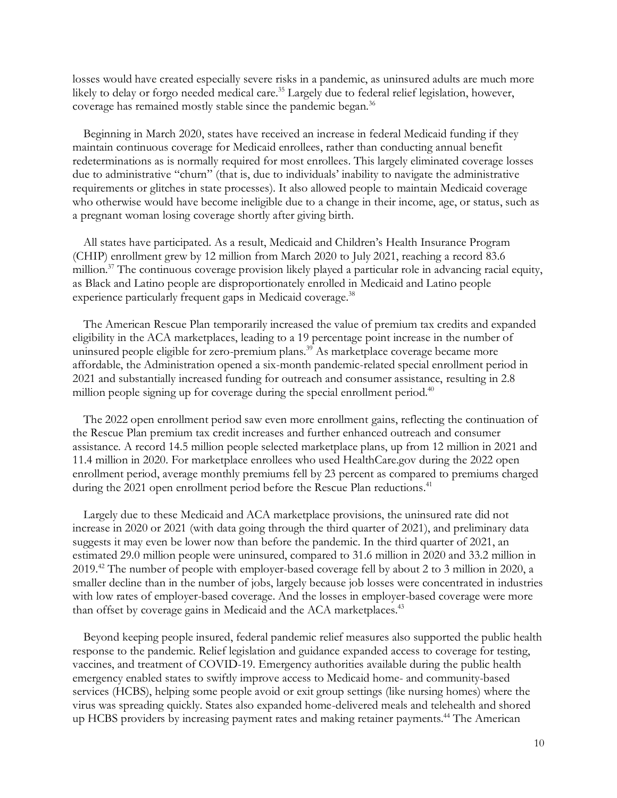losses would have created especially severe risks in a pandemic, as uninsured adults are much more likely to delay or forgo needed medical care.<sup>35</sup> Largely due to federal relief legislation, however, coverage has remained mostly stable since the pandemic began.<sup>36</sup>

Beginning in March 2020, states have received an increase in federal Medicaid funding if they maintain continuous coverage for Medicaid enrollees, rather than conducting annual benefit redeterminations as is normally required for most enrollees. This largely eliminated coverage losses due to administrative "churn" (that is, due to individuals' inability to navigate the administrative requirements or glitches in state processes). It also allowed people to maintain Medicaid coverage who otherwise would have become ineligible due to a change in their income, age, or status, such as a pregnant woman losing coverage shortly after giving birth.

All states have participated. As a result, Medicaid and Children's Health Insurance Program (CHIP) enrollment grew by 12 million from March 2020 to July 2021, reaching a record 83.6 million.<sup>37</sup> The continuous coverage provision likely played a particular role in advancing racial equity, as Black and Latino people are disproportionately enrolled in Medicaid and Latino people experience particularly frequent gaps in Medicaid coverage.<sup>38</sup>

The American Rescue Plan temporarily increased the value of premium tax credits and expanded eligibility in the ACA marketplaces, leading to a 19 percentage point increase in the number of uninsured people eligible for zero-premium plans.<sup>39</sup> As marketplace coverage became more affordable, the Administration opened a six-month pandemic-related special enrollment period in 2021 and substantially increased funding for outreach and consumer assistance, resulting in 2.8 million people signing up for coverage during the special enrollment period.<sup>40</sup>

The 2022 open enrollment period saw even more enrollment gains, reflecting the continuation of the Rescue Plan premium tax credit increases and further enhanced outreach and consumer assistance. A record 14.5 million people selected marketplace plans, up from 12 million in 2021 and 11.4 million in 2020. For marketplace enrollees who used HealthCare.gov during the 2022 open enrollment period, average monthly premiums fell by 23 percent as compared to premiums charged during the 2021 open enrollment period before the Rescue Plan reductions.<sup>41</sup>

Largely due to these Medicaid and ACA marketplace provisions, the uninsured rate did not increase in 2020 or 2021 (with data going through the third quarter of 2021), and preliminary data suggests it may even be lower now than before the pandemic. In the third quarter of 2021, an estimated 29.0 million people were uninsured, compared to 31.6 million in 2020 and 33.2 million in 2019.<sup>42</sup> The number of people with employer-based coverage fell by about 2 to 3 million in 2020, a smaller decline than in the number of jobs, largely because job losses were concentrated in industries with low rates of employer-based coverage. And the losses in employer-based coverage were more than offset by coverage gains in Medicaid and the ACA marketplaces.<sup>43</sup>

Beyond keeping people insured, federal pandemic relief measures also supported the public health response to the pandemic. Relief legislation and guidance expanded access to coverage for testing, vaccines, and treatment of COVID-19. Emergency authorities available during the public health emergency enabled states to swiftly improve access to Medicaid home- and community-based services (HCBS), helping some people avoid or exit group settings (like nursing homes) where the virus was spreading quickly. States also expanded home-delivered meals and telehealth and shored up HCBS providers by increasing payment rates and making retainer payments.<sup>44</sup> The American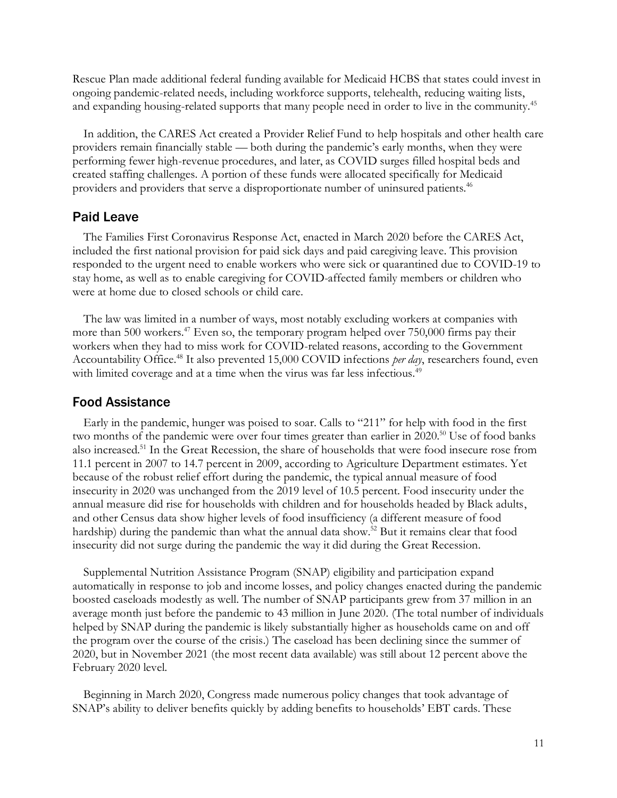Rescue Plan made additional federal funding available for Medicaid HCBS that states could invest in ongoing pandemic-related needs, including workforce supports, telehealth, reducing waiting lists, and expanding housing-related supports that many people need in order to live in the community.<sup>45</sup>

In addition, the CARES Act created a Provider Relief Fund to help hospitals and other health care providers remain financially stable — both during the pandemic's early months, when they were performing fewer high-revenue procedures, and later, as COVID surges filled hospital beds and created staffing challenges. A portion of these funds were allocated specifically for Medicaid providers and providers that serve a disproportionate number of uninsured patients.<sup>46</sup>

#### Paid Leave

The Families First Coronavirus Response Act, enacted in March 2020 before the CARES Act, included the first national provision for paid sick days and paid caregiving leave. This provision responded to the urgent need to enable workers who were sick or quarantined due to COVID-19 to stay home, as well as to enable caregiving for COVID-affected family members or children who were at home due to closed schools or child care.

The law was limited in a number of ways, most notably excluding workers at companies with more than 500 workers.<sup>47</sup> Even so, the temporary program helped over 750,000 firms pay their workers when they had to miss work for COVID-related reasons, according to the Government Accountability Office.<sup>48</sup> It also prevented 15,000 COVID infections *per day*, researchers found, even with limited coverage and at a time when the virus was far less infectious.<sup>49</sup>

#### Food Assistance

Early in the pandemic, hunger was poised to soar. Calls to "211" for help with food in the first two months of the pandemic were over four times greater than earlier in 2020.<sup>50</sup> Use of food banks also increased.<sup>51</sup> In the Great Recession, the share of households that were food insecure rose from 11.1 percent in 2007 to 14.7 percent in 2009, according to Agriculture Department estimates. Yet because of the robust relief effort during the pandemic, the typical annual measure of food insecurity in 2020 was unchanged from the 2019 level of 10.5 percent. Food insecurity under the annual measure did rise for households with children and for households headed by Black adults, and other Census data show higher levels of food insufficiency (a different measure of food hardship) during the pandemic than what the annual data show.<sup>52</sup> But it remains clear that food insecurity did not surge during the pandemic the way it did during the Great Recession.

Supplemental Nutrition Assistance Program (SNAP) eligibility and participation expand automatically in response to job and income losses, and policy changes enacted during the pandemic boosted caseloads modestly as well. The number of SNAP participants grew from 37 million in an average month just before the pandemic to 43 million in June 2020. (The total number of individuals helped by SNAP during the pandemic is likely substantially higher as households came on and off the program over the course of the crisis.) The caseload has been declining since the summer of 2020, but in November 2021 (the most recent data available) was still about 12 percent above the February 2020 level.

Beginning in March 2020, Congress made numerous policy changes that took advantage of SNAP's ability to deliver benefits quickly by adding benefits to households' EBT cards. These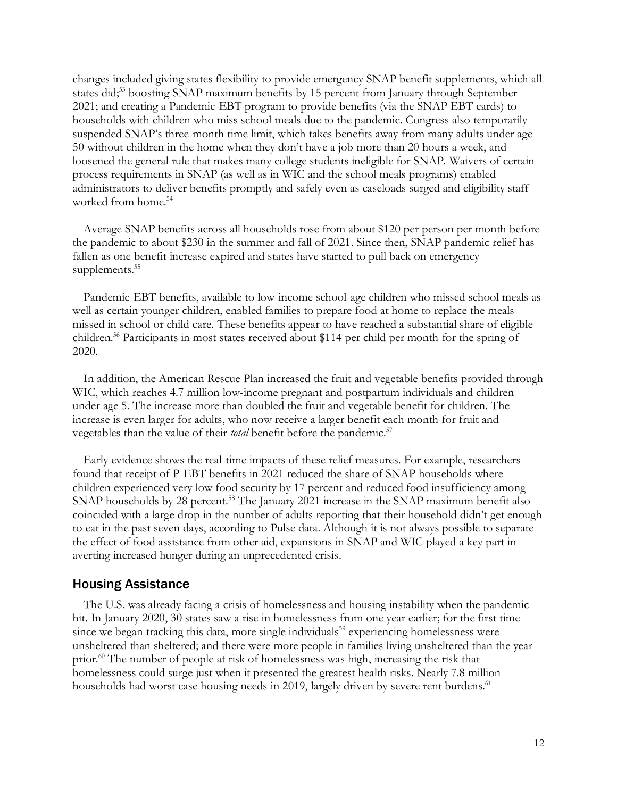changes included giving states flexibility to provide emergency SNAP benefit supplements, which all states did;<sup>53</sup> boosting SNAP maximum benefits by 15 percent from January through September 2021; and creating a Pandemic-EBT program to provide benefits (via the SNAP EBT cards) to households with children who miss school meals due to the pandemic. Congress also temporarily suspended SNAP's three-month time limit, which takes benefits away from many adults under age 50 without children in the home when they don't have a job more than 20 hours a week, and loosened the general rule that makes many college students ineligible for SNAP. Waivers of certain process requirements in SNAP (as well as in WIC and the school meals programs) enabled administrators to deliver benefits promptly and safely even as caseloads surged and eligibility staff worked from home.<sup>54</sup>

Average SNAP benefits across all households rose from about \$120 per person per month before the pandemic to about \$230 in the summer and fall of 2021. Since then, SNAP pandemic relief has fallen as one benefit increase expired and states have started to pull back on emergency supplements.<sup>55</sup>

Pandemic-EBT benefits, available to low-income school-age children who missed school meals as well as certain younger children, enabled families to prepare food at home to replace the meals missed in school or child care. These benefits appear to have reached a substantial share of eligible children.<sup>56</sup> Participants in most states received about \$114 per child per month for the spring of 2020.

In addition, the American Rescue Plan increased the fruit and vegetable benefits provided through WIC, which reaches 4.7 million low-income pregnant and postpartum individuals and children under age 5. The increase more than doubled the fruit and vegetable benefit for children. The increase is even larger for adults, who now receive a larger benefit each month for fruit and vegetables than the value of their *total* benefit before the pandemic.<sup>57</sup>

Early evidence shows the real-time impacts of these relief measures. For example, researchers found that receipt of P-EBT benefits in 2021 reduced the share of SNAP households where children experienced very low food security by 17 percent and reduced food insufficiency among SNAP households by 28 percent.<sup>58</sup> The January 2021 increase in the SNAP maximum benefit also coincided with a large drop in the number of adults reporting that their household didn't get enough to eat in the past seven days, according to Pulse data. Although it is not always possible to separate the effect of food assistance from other aid, expansions in SNAP and WIC played a key part in averting increased hunger during an unprecedented crisis.

#### Housing Assistance

The U.S. was already facing a crisis of homelessness and housing instability when the pandemic hit. In January 2020, 30 states saw a rise in homelessness from one year earlier; for the first time since we began tracking this data, more single individuals<sup>59</sup> experiencing homelessness were unsheltered than sheltered; and there were more people in families living unsheltered than the year prior.<sup>60</sup> The number of people at risk of homelessness was high, increasing the risk that homelessness could surge just when it presented the greatest health risks. Nearly 7.8 million households had worst case housing needs in 2019, largely driven by severe rent burdens.<sup>61</sup>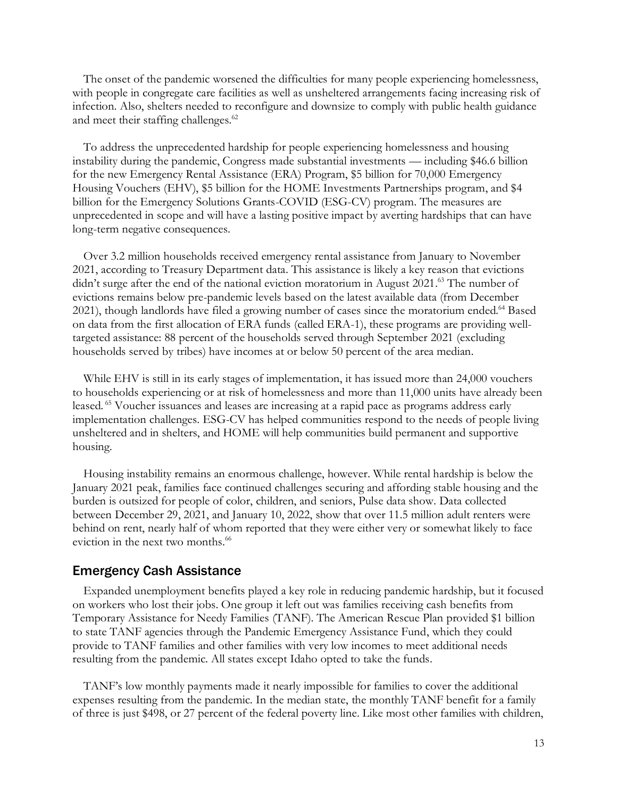The onset of the pandemic worsened the difficulties for many people experiencing homelessness, with people in congregate care facilities as well as unsheltered arrangements facing increasing risk of infection. Also, shelters needed to reconfigure and downsize to comply with public health guidance and meet their staffing challenges.<sup>62</sup>

To address the unprecedented hardship for people experiencing homelessness and housing instability during the pandemic, Congress made substantial investments — including \$46.6 billion for the new Emergency Rental Assistance (ERA) Program, \$5 billion for 70,000 Emergency Housing Vouchers (EHV), \$5 billion for the HOME Investments Partnerships program, and \$4 billion for the Emergency Solutions Grants-COVID (ESG-CV) program. The measures are unprecedented in scope and will have a lasting positive impact by averting hardships that can have long-term negative consequences.

Over 3.2 million households received emergency rental assistance from January to November 2021, according to Treasury Department data. This assistance is likely a key reason that evictions didn't surge after the end of the national eviction moratorium in August 2021.<sup>63</sup> The number of evictions remains below pre-pandemic levels based on the latest available data (from December 2021), though landlords have filed a growing number of cases since the moratorium ended. <sup>64</sup> Based on data from the first allocation of ERA funds (called ERA-1), these programs are providing welltargeted assistance: 88 percent of the households served through September 2021 (excluding households served by tribes) have incomes at or below 50 percent of the area median.

While EHV is still in its early stages of implementation, it has issued more than 24,000 vouchers to households experiencing or at risk of homelessness and more than 11,000 units have already been leased. <sup>65</sup> Voucher issuances and leases are increasing at a rapid pace as programs address early implementation challenges. ESG-CV has helped communities respond to the needs of people living unsheltered and in shelters, and HOME will help communities build permanent and supportive housing.

Housing instability remains an enormous challenge, however. While rental hardship is below the January 2021 peak, families face continued challenges securing and affording stable housing and the burden is outsized for people of color, children, and seniors, Pulse data show. Data collected between December 29, 2021, and January 10, 2022, show that over 11.5 million adult renters were behind on rent, nearly half of whom reported that they were either very or somewhat likely to face eviction in the next two months.<sup>66</sup>

#### Emergency Cash Assistance

Expanded unemployment benefits played a key role in reducing pandemic hardship, but it focused on workers who lost their jobs. One group it left out was families receiving cash benefits from Temporary Assistance for Needy Families (TANF). The American Rescue Plan provided \$1 billion to state TANF agencies through the Pandemic Emergency Assistance Fund, which they could provide to TANF families and other families with very low incomes to meet additional needs resulting from the pandemic. All states except Idaho opted to take the funds.

TANF's low monthly payments made it nearly impossible for families to cover the additional expenses resulting from the pandemic. In the median state, the monthly TANF benefit for a family of three is just \$498, or 27 percent of the federal poverty line. Like most other families with children,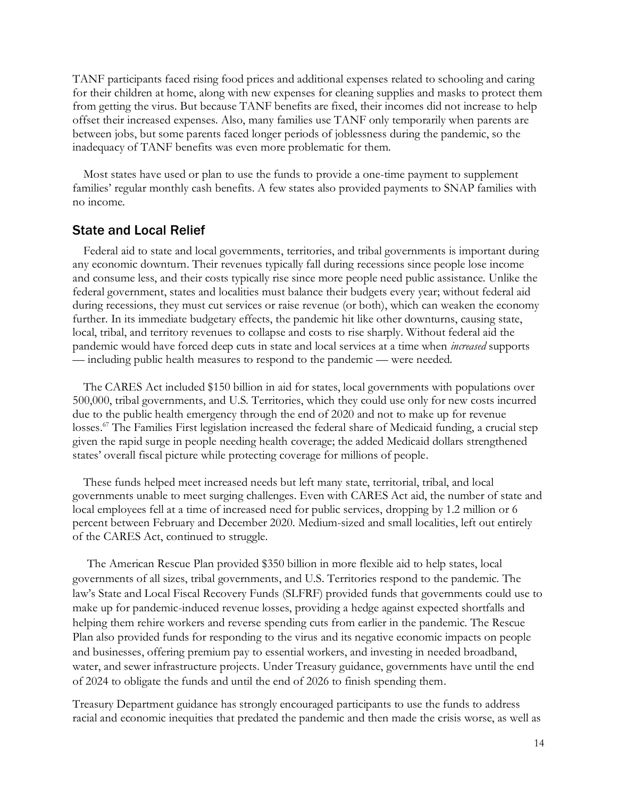TANF participants faced rising food prices and additional expenses related to schooling and caring for their children at home, along with new expenses for cleaning supplies and masks to protect them from getting the virus. But because TANF benefits are fixed, their incomes did not increase to help offset their increased expenses. Also, many families use TANF only temporarily when parents are between jobs, but some parents faced longer periods of joblessness during the pandemic, so the inadequacy of TANF benefits was even more problematic for them.

Most states have used or plan to use the funds to provide a one-time payment to supplement families' regular monthly cash benefits. A few states also provided payments to SNAP families with no income.

#### State and Local Relief

Federal aid to state and local governments, territories, and tribal governments is important during any economic downturn. Their revenues typically fall during recessions since people lose income and consume less, and their costs typically rise since more people need public assistance. Unlike the federal government, states and localities must balance their budgets every year; without federal aid during recessions, they must cut services or raise revenue (or both), which can weaken the economy further. In its immediate budgetary effects, the pandemic hit like other downturns, causing state, local, tribal, and territory revenues to collapse and costs to rise sharply. Without federal aid the pandemic would have forced deep cuts in state and local services at a time when *increased* supports — including public health measures to respond to the pandemic — were needed.

The CARES Act included \$150 billion in aid for states, local governments with populations over 500,000, tribal governments, and U.S. Territories, which they could use only for new costs incurred due to the public health emergency through the end of 2020 and not to make up for revenue losses.<sup>67</sup> The Families First legislation increased the federal share of Medicaid funding, a crucial step given the rapid surge in people needing health coverage; the added Medicaid dollars strengthened states' overall fiscal picture while protecting coverage for millions of people.

These funds helped meet increased needs but left many state, territorial, tribal, and local governments unable to meet surging challenges. Even with CARES Act aid, the number of state and local employees fell at a time of increased need for public services, dropping by 1.2 million or 6 percent between February and December 2020. Medium-sized and small localities, left out entirely of the CARES Act, continued to struggle.

The American Rescue Plan provided \$350 billion in more flexible aid to help states, local governments of all sizes, tribal governments, and U.S. Territories respond to the pandemic. The law's State and Local Fiscal Recovery Funds (SLFRF) provided funds that governments could use to make up for pandemic-induced revenue losses, providing a hedge against expected shortfalls and helping them rehire workers and reverse spending cuts from earlier in the pandemic. The Rescue Plan also provided funds for responding to the virus and its negative economic impacts on people and businesses, offering premium pay to essential workers, and investing in needed broadband, water, and sewer infrastructure projects. Under Treasury guidance, governments have until the end of 2024 to obligate the funds and until the end of 2026 to finish spending them.

Treasury Department guidance has strongly encouraged participants to use the funds to address racial and economic inequities that predated the pandemic and then made the crisis worse, as well as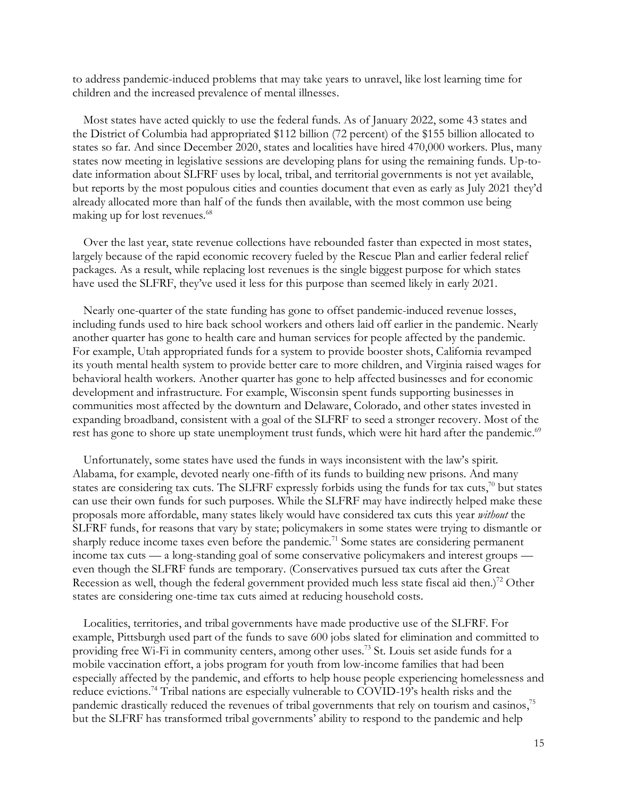to address pandemic-induced problems that may take years to unravel, like lost learning time for children and the increased prevalence of mental illnesses.

Most states have acted quickly to use the federal funds. As of January 2022, some 43 states and the District of Columbia had appropriated \$112 billion (72 percent) of the \$155 billion allocated to states so far. And since December 2020, states and localities have hired 470,000 workers. Plus, many states now meeting in legislative sessions are developing plans for using the remaining funds. Up-todate information about SLFRF uses by local, tribal, and territorial governments is not yet available, but reports by the most populous cities and counties document that even as early as July 2021 they'd already allocated more than half of the funds then available, with the most common use being making up for lost revenues.<sup>68</sup>

Over the last year, state revenue collections have rebounded faster than expected in most states, largely because of the rapid economic recovery fueled by the Rescue Plan and earlier federal relief packages. As a result, while replacing lost revenues is the single biggest purpose for which states have used the SLFRF, they've used it less for this purpose than seemed likely in early 2021.

Nearly one-quarter of the state funding has gone to offset pandemic-induced revenue losses, including funds used to hire back school workers and others laid off earlier in the pandemic. Nearly another quarter has gone to health care and human services for people affected by the pandemic. For example, Utah appropriated funds for a system to provide booster shots, California revamped its youth mental health system to provide better care to more children, and Virginia raised wages for behavioral health workers. Another quarter has gone to help affected businesses and for economic development and infrastructure. For example, Wisconsin spent funds supporting businesses in communities most affected by the downturn and Delaware, Colorado, and other states invested in expanding broadband, consistent with a goal of the SLFRF to seed a stronger recovery. Most of the rest has gone to shore up state unemployment trust funds, which were hit hard after the pandemic.<sup>69</sup>

Unfortunately, some states have used the funds in ways inconsistent with the law's spirit. Alabama, for example, devoted nearly one-fifth of its funds to building new prisons. And many states are considering tax cuts. The SLFRF expressly forbids using the funds for tax cuts, $70$  but states can use their own funds for such purposes. While the SLFRF may have indirectly helped make these proposals more affordable, many states likely would have considered tax cuts this year *without* the SLFRF funds, for reasons that vary by state; policymakers in some states were trying to dismantle or sharply reduce income taxes even before the pandemic.<sup>71</sup> Some states are considering permanent income tax cuts — a long-standing goal of some conservative policymakers and interest groups even though the SLFRF funds are temporary. (Conservatives pursued tax cuts after the Great Recession as well, though the federal government provided much less state fiscal aid then.)<sup>72</sup> Other states are considering one-time tax cuts aimed at reducing household costs.

Localities, territories, and tribal governments have made productive use of the SLFRF. For example, Pittsburgh used part of the funds to save 600 jobs slated for elimination and committed to providing free Wi-Fi in community centers, among other uses.<sup>73</sup> St. Louis set aside funds for a mobile vaccination effort, a jobs program for youth from low-income families that had been especially affected by the pandemic, and efforts to help house people experiencing homelessness and reduce evictions. <sup>74</sup> Tribal nations are especially vulnerable to COVID-19's health risks and the pandemic drastically reduced the revenues of tribal governments that rely on tourism and casinos,<sup>75</sup> but the SLFRF has transformed tribal governments' ability to respond to the pandemic and help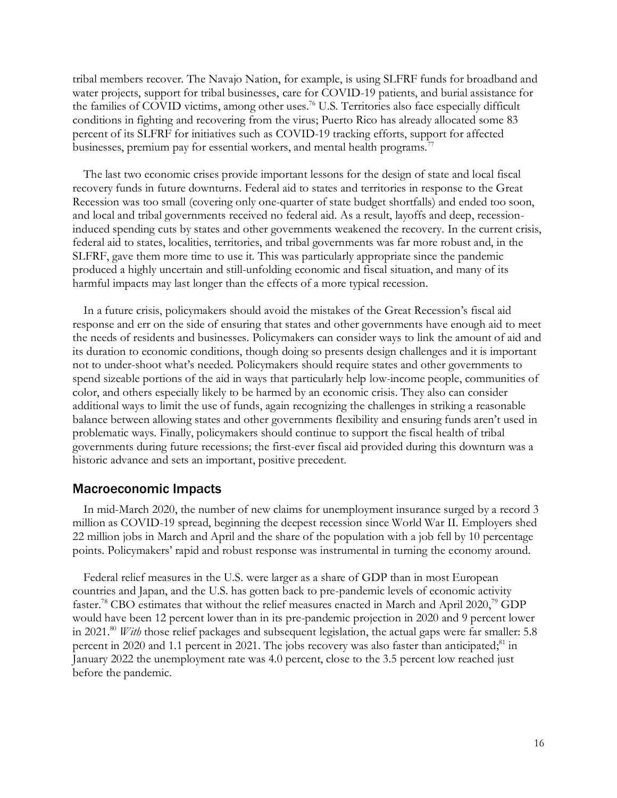tribal members recover. The Navajo Nation, for example, is using SLFRF funds for broadband and water projects, support for tribal businesses, care for COVID-19 patients, and burial assistance for the families of COVID victims, among other uses. <sup>76</sup> U.S. Territories also face especially difficult conditions in fighting and recovering from the virus; Puerto Rico has already allocated some 83 percent of its SLFRF for initiatives such as COVID-19 tracking efforts, support for affected businesses, premium pay for essential workers, and mental health programs.<sup>77</sup>

The last two economic crises provide important lessons for the design of state and local fiscal recovery funds in future downturns. Federal aid to states and territories in response to the Great Recession was too small (covering only one-quarter of state budget shortfalls) and ended too soon, and local and tribal governments received no federal aid. As a result, layoffs and deep, recessioninduced spending cuts by states and other governments weakened the recovery. In the current crisis, federal aid to states, localities, territories, and tribal governments was far more robust and, in the SLFRF, gave them more time to use it. This was particularly appropriate since the pandemic produced a highly uncertain and still-unfolding economic and fiscal situation, and many of its harmful impacts may last longer than the effects of a more typical recession.

In a future crisis, policymakers should avoid the mistakes of the Great Recession's fiscal aid response and err on the side of ensuring that states and other governments have enough aid to meet the needs of residents and businesses. Policymakers can consider ways to link the amount of aid and its duration to economic conditions, though doing so presents design challenges and it is important not to under-shoot what's needed. Policymakers should require states and other governments to spend sizeable portions of the aid in ways that particularly help low-income people, communities of color, and others especially likely to be harmed by an economic crisis. They also can consider additional ways to limit the use of funds, again recognizing the challenges in striking a reasonable balance between allowing states and other governments flexibility and ensuring funds aren't used in problematic ways. Finally, policymakers should continue to support the fiscal health of tribal governments during future recessions; the first-ever fiscal aid provided during this downturn was a historic advance and sets an important, positive precedent.

#### Macroeconomic Impacts

In mid-March 2020, the number of new claims for unemployment insurance surged by a record 3 million as COVID-19 spread, beginning the deepest recession since World War II. Employers shed 22 million jobs in March and April and the share of the population with a job fell by 10 percentage points. Policymakers' rapid and robust response was instrumental in turning the economy around.

Federal relief measures in the U.S. were larger as a share of GDP than in most European countries and Japan, and the U.S. has gotten back to pre-pandemic levels of economic activity faster.<sup>78</sup> CBO estimates that without the relief measures enacted in March and April 2020,<sup>79</sup> GDP would have been 12 percent lower than in its pre-pandemic projection in 2020 and 9 percent lower in 2021.<sup>80</sup> *With* those relief packages and subsequent legislation, the actual gaps were far smaller: 5.8 percent in 2020 and 1.1 percent in 2021. The jobs recovery was also faster than anticipated;<sup>81</sup> in January 2022 the unemployment rate was 4.0 percent, close to the 3.5 percent low reached just before the pandemic.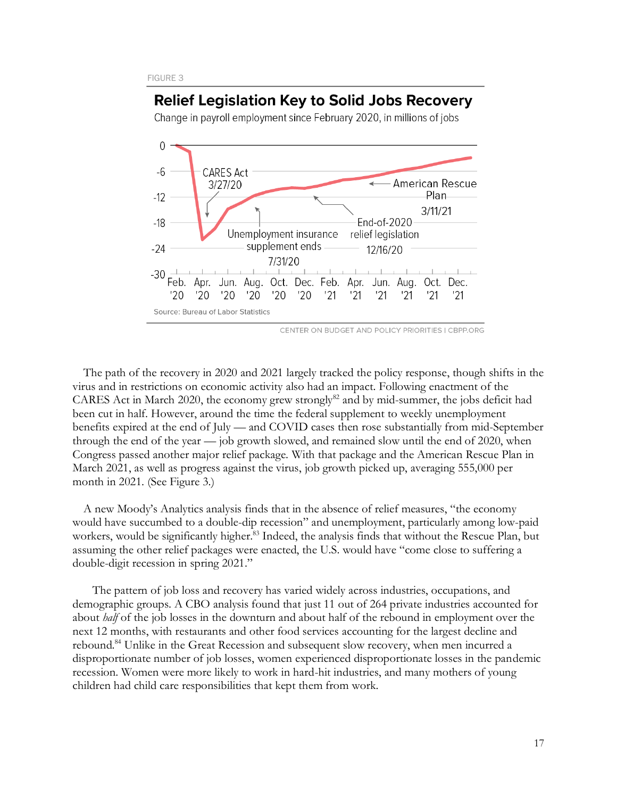## **Relief Legislation Key to Solid Jobs Recovery**

Change in payroll employment since February 2020, in millions of jobs



CENTER ON BUDGET AND POLICY PRIORITIES I CBPP.ORG

The path of the recovery in 2020 and 2021 largely tracked the policy response, though shifts in the virus and in restrictions on economic activity also had an impact. Following enactment of the CARES Act in March 2020, the economy grew strongly<sup>82</sup> and by mid-summer, the jobs deficit had been cut in half. However, around the time the federal supplement to weekly unemployment benefits expired at the end of July — and COVID cases then rose substantially from mid-September through the end of the year — job growth slowed, and remained slow until the end of 2020, when Congress passed another major relief package. With that package and the American Rescue Plan in March 2021, as well as progress against the virus, job growth picked up, averaging 555,000 per month in 2021. (See Figure 3.)

A new Moody's Analytics analysis finds that in the absence of relief measures, "the economy would have succumbed to a double-dip recession" and unemployment, particularly among low-paid workers, would be significantly higher. <sup>83</sup> Indeed, the analysis finds that without the Rescue Plan, but assuming the other relief packages were enacted, the U.S. would have "come close to suffering a double-digit recession in spring 2021."

 The pattern of job loss and recovery has varied widely across industries, occupations, and demographic groups. A CBO analysis found that just 11 out of 264 private industries accounted for about *half* of the job losses in the downturn and about half of the rebound in employment over the next 12 months, with restaurants and other food services accounting for the largest decline and rebound.<sup>84</sup> Unlike in the Great Recession and subsequent slow recovery, when men incurred a disproportionate number of job losses, women experienced disproportionate losses in the pandemic recession. Women were more likely to work in hard-hit industries, and many mothers of young children had child care responsibilities that kept them from work.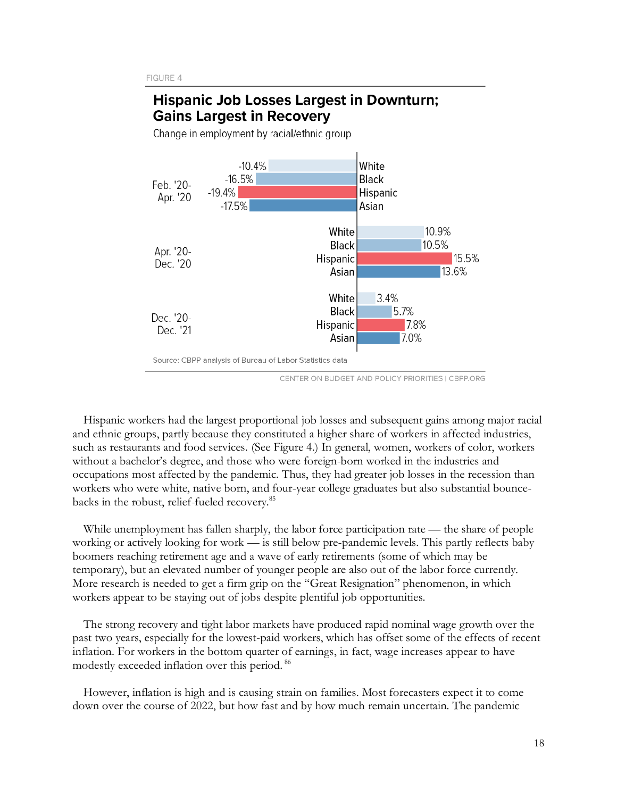# **Hispanic Job Losses Largest in Downturn: Gains Largest in Recovery**



Change in employment by racial/ethnic group

CENTER ON BUDGET AND POLICY PRIORITIES | CBPP.ORG

Hispanic workers had the largest proportional job losses and subsequent gains among major racial and ethnic groups, partly because they constituted a higher share of workers in affected industries, such as restaurants and food services. (See Figure 4.) In general, women, workers of color, workers without a bachelor's degree, and those who were foreign-born worked in the industries and occupations most affected by the pandemic. Thus, they had greater job losses in the recession than workers who were white, native born, and four-year college graduates but also substantial bouncebacks in the robust, relief-fueled recovery.<sup>85</sup>

While unemployment has fallen sharply, the labor force participation rate — the share of people working or actively looking for work — is still below pre-pandemic levels. This partly reflects baby boomers reaching retirement age and a wave of early retirements (some of which may be temporary), but an elevated number of younger people are also out of the labor force currently. More research is needed to get a firm grip on the "Great Resignation" phenomenon, in which workers appear to be staying out of jobs despite plentiful job opportunities.

The strong recovery and tight labor markets have produced rapid nominal wage growth over the past two years, especially for the lowest-paid workers, which has offset some of the effects of recent inflation. For workers in the bottom quarter of earnings, in fact, wage increases appear to have modestly exceeded inflation over this period. <sup>86</sup>

However, inflation is high and is causing strain on families. Most forecasters expect it to come down over the course of 2022, but how fast and by how much remain uncertain. The pandemic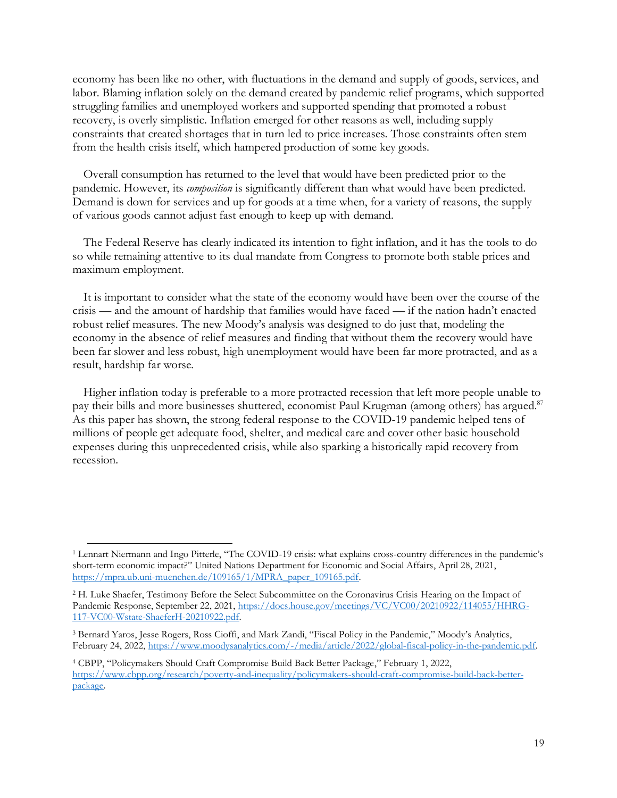economy has been like no other, with fluctuations in the demand and supply of goods, services, and labor. Blaming inflation solely on the demand created by pandemic relief programs, which supported struggling families and unemployed workers and supported spending that promoted a robust recovery, is overly simplistic. Inflation emerged for other reasons as well, including supply constraints that created shortages that in turn led to price increases. Those constraints often stem from the health crisis itself, which hampered production of some key goods.

Overall consumption has returned to the level that would have been predicted prior to the pandemic. However, its *composition* is significantly different than what would have been predicted. Demand is down for services and up for goods at a time when, for a variety of reasons, the supply of various goods cannot adjust fast enough to keep up with demand.

The Federal Reserve has clearly indicated its intention to fight inflation, and it has the tools to do so while remaining attentive to its dual mandate from Congress to promote both stable prices and maximum employment.

It is important to consider what the state of the economy would have been over the course of the crisis — and the amount of hardship that families would have faced — if the nation hadn't enacted robust relief measures. The new Moody's analysis was designed to do just that, modeling the economy in the absence of relief measures and finding that without them the recovery would have been far slower and less robust, high unemployment would have been far more protracted, and as a result, hardship far worse.

Higher inflation today is preferable to a more protracted recession that left more people unable to pay their bills and more businesses shuttered, economist Paul Krugman (among others) has argued.<sup>87</sup> As this paper has shown, the strong federal response to the COVID-19 pandemic helped tens of millions of people get adequate food, shelter, and medical care and cover other basic household expenses during this unprecedented crisis, while also sparking a historically rapid recovery from recession.

<sup>1</sup> Lennart Niermann and Ingo Pitterle, "The COVID-19 crisis: what explains cross-country differences in the pandemic's short-term economic impact?" United Nations Department for Economic and Social Affairs, April 28, 2021, [https://mpra.ub.uni-muenchen.de/109165/1/MPRA\\_paper\\_109165.pdf.](https://mpra.ub.uni-muenchen.de/109165/1/MPRA_paper_109165.pdf)

<sup>2</sup> H. Luke Shaefer, Testimony Before the Select Subcommittee on the Coronavirus Crisis Hearing on the Impact of Pandemic Response, September 22, 2021, [https://docs.house.gov/meetings/VC/VC00/20210922/114055/HHRG-](https://docs.house.gov/meetings/VC/VC00/20210922/114055/HHRG-117-VC00-Wstate-ShaeferH-20210922.pdf)[117-VC00-Wstate-ShaeferH-20210922.pdf.](https://docs.house.gov/meetings/VC/VC00/20210922/114055/HHRG-117-VC00-Wstate-ShaeferH-20210922.pdf)

<sup>3</sup> Bernard Yaros, Jesse Rogers, Ross Cioffi, and Mark Zandi, "Fiscal Policy in the Pandemic," Moody's Analytics, February 24, 2022[, https://www.moodysanalytics.com/-/media/article/2022/global-fiscal-policy-in-the-pandemic.pdf.](https://www.moodysanalytics.com/-/media/article/2022/global-fiscal-policy-in-the-pandemic.pdf)

<sup>4</sup> CBPP, "Policymakers Should Craft Compromise Build Back Better Package," February 1, 2022, [https://www.cbpp.org/research/poverty-and-inequality/policymakers-should-craft-compromise-build-back-better](https://www.cbpp.org/research/poverty-and-inequality/policymakers-should-craft-compromise-build-back-better-package)[package.](https://www.cbpp.org/research/poverty-and-inequality/policymakers-should-craft-compromise-build-back-better-package)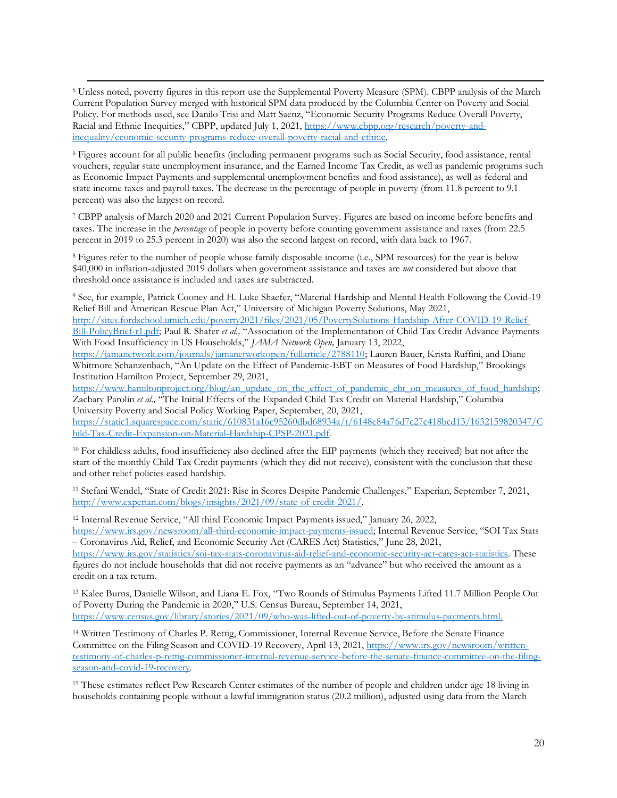<sup>5</sup> Unless noted, poverty figures in this report use the Supplemental Poverty Measure (SPM). CBPP analysis of the March Current Population Survey merged with historical SPM data produced by the Columbia Center on Poverty and Social Policy. For methods used, see Danilo Trisi and Matt Saenz, "Economic Security Programs Reduce Overall Poverty, Racial and Ethnic Inequities," CBPP, updated July 1, 2021, [https://www.cbpp.org/research/poverty-and](https://www.cbpp.org/research/poverty-and-inequality/economic-security-programs-reduce-overall-poverty-racial-and-ethnic)[inequality/economic-security-programs-reduce-overall-poverty-racial-and-ethnic.](https://www.cbpp.org/research/poverty-and-inequality/economic-security-programs-reduce-overall-poverty-racial-and-ethnic) 

<sup>6</sup> Figures account for all public benefits (including permanent programs such as Social Security, food assistance, rental vouchers, regular state unemployment insurance, and the Earned Income Tax Credit, as well as pandemic programs such as Economic Impact Payments and supplemental unemployment benefits and food assistance), as well as federal and state income taxes and payroll taxes. The decrease in the percentage of people in poverty (from 11.8 percent to 9.1 percent) was also the largest on record.

<sup>7</sup> CBPP analysis of March 2020 and 2021 Current Population Survey. Figures are based on income before benefits and taxes. The increase in the *percentage* of people in poverty before counting government assistance and taxes (from 22.5 percent in 2019 to 25.3 percent in 2020) was also the second largest on record, with data back to 1967.

<sup>8</sup> Figures refer to the number of people whose family disposable income (i.e., SPM resources) for the year is below \$40,000 in inflation-adjusted 2019 dollars when government assistance and taxes are *not* considered but above that threshold once assistance is included and taxes are subtracted.

<sup>9</sup> See, for example, Patrick Cooney and H. Luke Shaefer, "Material Hardship and Mental Health Following the Covid-19 Relief Bill and American Rescue Plan Act," University of Michigan Poverty Solutions, May 2021, [http://sites.fordschool.umich.edu/poverty2021/files/2021/05/PovertySolutions-Hardship-After-COVID-19-Relief-](http://sites.fordschool.umich.edu/poverty2021/files/2021/05/PovertySolutions-Hardship-After-COVID-19-Relief-Bill-PolicyBrief-r1.pdf)

[Bill-PolicyBrief-r1.pdf;](http://sites.fordschool.umich.edu/poverty2021/files/2021/05/PovertySolutions-Hardship-After-COVID-19-Relief-Bill-PolicyBrief-r1.pdf) Paul R. Shafer *et al.,* "Association of the Implementation of Child Tax Credit Advance Payments With Food Insufficiency in US Households," *JAMA Network Open,* January 13, 2022,

[https://jamanetwork.com/journals/jamanetworkopen/fullarticle/2788110;](https://jamanetwork.com/journals/jamanetworkopen/fullarticle/2788110) Lauren Bauer, Krista Ruffini, and Diane Whitmore Schanzenbach, "An Update on the Effect of Pandemic-EBT on Measures of Food Hardship," Brookings Institution Hamilton Project, September 29, 2021,

[https://www.hamiltonproject.org/blog/an\\_update\\_on\\_the\\_effect\\_of\\_pandemic\\_ebt\\_on\\_measures\\_of\\_food\\_hardship;](https://www.hamiltonproject.org/blog/an_update_on_the_effect_of_pandemic_ebt_on_measures_of_food_hardship) Zachary Parolin *et al.,* "The Initial Effects of the Expanded Child Tax Credit on Material Hardship," Columbia University Poverty and Social Policy Working Paper, September, 20, 2021,

[https://static1.squarespace.com/static/610831a16c95260dbd68934a/t/6148c84a76d7c27c418bcd13/1632159820347/C](https://static1.squarespace.com/static/610831a16c95260dbd68934a/t/6148c84a76d7c27c418bcd13/1632159820347/Child-Tax-Credit-Expansion-on-Material-Hardship-CPSP-2021.pdf) [hild-Tax-Credit-Expansion-on-Material-Hardship-CPSP-2021.pdf.](https://static1.squarespace.com/static/610831a16c95260dbd68934a/t/6148c84a76d7c27c418bcd13/1632159820347/Child-Tax-Credit-Expansion-on-Material-Hardship-CPSP-2021.pdf)

<sup>10</sup> For childless adults, food insufficiency also declined after the EIP payments (which they received) but not after the start of the monthly Child Tax Credit payments (which they did not receive), consistent with the conclusion that these and other relief policies eased hardship.

<sup>11</sup> Stefani Wendel, "State of Credit 2021: Rise in Scores Despite Pandemic Challenges," Experian, September 7, 2021, [http://www.experian.com/blogs/insights/2021/09/state-of-credit-2021/.](http://www.experian.com/blogs/insights/2021/09/state-of-credit-2021/)

<sup>12</sup> Internal Revenue Service, "All third Economic Impact Payments issued," January 26, 2022, [https://www.irs.gov/newsroom/all-third-economic-impact-payments-issued;](https://www.irs.gov/newsroom/all-third-economic-impact-payments-issued) Internal Revenue Service, "SOI Tax Stats

– Coronavirus Aid, Relief, and Economic Security Act (CARES Act) Statistics," June 28, 2021,

[https://www.irs.gov/statistics/soi-tax-stats-coronavirus-aid-relief-and-economic-security-act-cares-act-statistics.](https://www.irs.gov/statistics/soi-tax-stats-coronavirus-aid-relief-and-economic-security-act-cares-act-statistics) These figures do not include households that did not receive payments as an "advance" but who received the amount as a credit on a tax return.

<sup>13</sup> Kalee Burns, Danielle Wilson, and Liana E. Fox, "Two Rounds of Stimulus Payments Lifted 11.7 Million People Out of Poverty During the Pandemic in 2020," U.S. Census Bureau, September 14, 2021, [https://www.census.gov/library/stories/2021/09/who-was-lifted-out-of-poverty-by-stimulus-payments.html.](https://www.census.gov/library/stories/2021/09/who-was-lifted-out-of-poverty-by-stimulus-payments.html)

<sup>14</sup> Written Testimony of Charles P. Rettig, Commissioner, Internal Revenue Service, Before the Senate Finance Committee on the Filing Season and COVID-19 Recovery, April 13, 2021[, https://www.irs.gov/newsroom/written](https://www.irs.gov/newsroom/written-testimony-of-charles-p-rettig-commissioner-internal-revenue-service-before-the-senate-finance-committee-on-the-filing-season-and-covid-19-recovery)[testimony-of-charles-p-rettig-commissioner-internal-revenue-service-before-the-senate-finance-committee-on-the-filing](https://www.irs.gov/newsroom/written-testimony-of-charles-p-rettig-commissioner-internal-revenue-service-before-the-senate-finance-committee-on-the-filing-season-and-covid-19-recovery)[season-and-covid-19-recovery.](https://www.irs.gov/newsroom/written-testimony-of-charles-p-rettig-commissioner-internal-revenue-service-before-the-senate-finance-committee-on-the-filing-season-and-covid-19-recovery)

<sup>15</sup> These estimates reflect Pew Research Center estimates of the number of people and children under age 18 living in households containing people without a lawful immigration status (20.2 million), adjusted using data from the March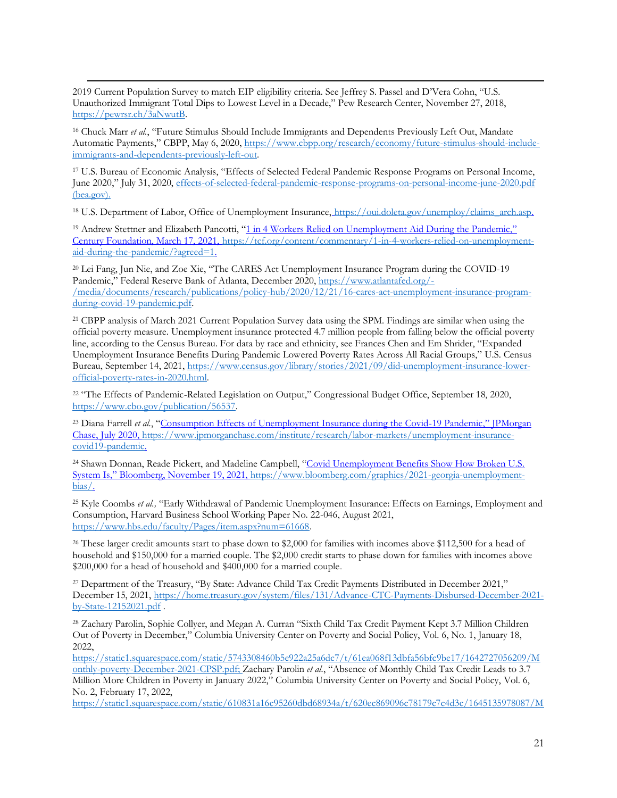2019 Current Population Survey to match EIP eligibility criteria. See Jeffrey S. Passel and D'Vera Cohn, "U.S. Unauthorized Immigrant Total Dips to Lowest Level in a Decade," Pew Research Center, November 27, 2018, [https://pewrsr.ch/3aNwutB.](https://pewrsr.ch/3aNwutB)

<sup>16</sup> Chuck Marr *et al.*, "Future Stimulus Should Include Immigrants and Dependents Previously Left Out, Mandate Automatic Payments," CBPP, May 6, 2020, [https://www.cbpp.org/research/economy/future-stimulus-should-include](https://www.cbpp.org/research/economy/future-stimulus-should-include-immigrants-and-dependents-previously-left-out)[immigrants-and-dependents-previously-left-out.](https://www.cbpp.org/research/economy/future-stimulus-should-include-immigrants-and-dependents-previously-left-out)

<sup>17</sup> U.S. Bureau of Economic Analysis, "Effects of Selected Federal Pandemic Response Programs on Personal Income, June 2020," July 31, 2020[, effects-of-selected-federal-pandemic-response-programs-on-personal-income-june-2020.pdf](https://www.bea.gov/system/files/2020-07/effects-of-selected-federal-pandemic-response-programs-on-personal-income-june-2020.pdf)  [\(bea.gov\).](https://www.bea.gov/system/files/2020-07/effects-of-selected-federal-pandemic-response-programs-on-personal-income-june-2020.pdf)

<sup>18</sup> U.S. Department of Labor, Office of Unemployment Insurance, [https://oui.doleta.gov/unemploy/claims\\_arch.asp.](https://oui.doleta.gov/unemploy/claims_arch.asp) 

<sup>19</sup> Andrew Stettner and Elizabeth Pancotti, "1 in 4 Workers Relied on Unemployment Aid During the Pandemic." Century Foundation, March 17, 2021, [https://tcf.org/content/commentary/1-in-4-workers-relied-on-unemployment](https://tcf.org/content/commentary/1-in-4-workers-relied-on-unemployment-aid-during-the-pandemic/?agreed=1)[aid-during-the-pandemic/?agreed=1.](https://tcf.org/content/commentary/1-in-4-workers-relied-on-unemployment-aid-during-the-pandemic/?agreed=1)

<sup>20</sup> Lei Fang, Jun Nie, and Zoe Xie, "The CARES Act Unemployment Insurance Program during the COVID-19 Pandemic," Federal Reserve Bank of Atlanta, December 2020, [https://www.atlantafed.org/-](https://www.atlantafed.org/-/media/documents/research/publications/policy-hub/2020/12/21/16-cares-act-unemployment-insurance-program-during-covid-19-pandemic.pdf) [/media/documents/research/publications/policy-hub/2020/12/21/16-cares-act-unemployment-insurance-program](https://www.atlantafed.org/-/media/documents/research/publications/policy-hub/2020/12/21/16-cares-act-unemployment-insurance-program-during-covid-19-pandemic.pdf)[during-covid-19-pandemic.pdf.](https://www.atlantafed.org/-/media/documents/research/publications/policy-hub/2020/12/21/16-cares-act-unemployment-insurance-program-during-covid-19-pandemic.pdf)

<sup>21</sup> CBPP analysis of March 2021 Current Population Survey data using the SPM. Findings are similar when using the official poverty measure. Unemployment insurance protected 4.7 million people from falling below the official poverty line, according to the Census Bureau. For data by race and ethnicity, see Frances Chen and Em Shrider, "Expanded Unemployment Insurance Benefits During Pandemic Lowered Poverty Rates Across All Racial Groups," U.S. Census Bureau, September 14, 2021[, https://www.census.gov/library/stories/2021/09/did-unemployment-insurance-lower](https://www.census.gov/library/stories/2021/09/did-unemployment-insurance-lower-official-poverty-rates-in-2020.html)[official-poverty-rates-in-2020.html.](https://www.census.gov/library/stories/2021/09/did-unemployment-insurance-lower-official-poverty-rates-in-2020.html)

<sup>22</sup> "The Effects of Pandemic-Related Legislation on Output," Congressional Budget Office, September 18, 2020, [https://www.cbo.gov/publication/56537.](https://www.cbo.gov/publication/56537)

<sup>23</sup> Diana Farrell *et al.*, "Consumption Effects of Unemployment Insurance during the Covid-19 Pandemic," IPMorgan Chase, July 2020[, https://www.jpmorganchase.com/institute/research/labor-markets/unemployment-insurance](https://www.jpmorganchase.com/institute/research/labor-markets/unemployment-insurance-covid19-pandemic)[covid19-pandemic.](https://www.jpmorganchase.com/institute/research/labor-markets/unemployment-insurance-covid19-pandemic) 

<sup>24</sup> Shawn Donnan, Reade Pickert, and Madeline Campbell, "Covid Unemployment Benefits Show How Broken U.S. System Is," Bloomberg, November 19, 2021, [https://www.bloomberg.com/graphics/2021-georgia-unemployment](https://www.bloomberg.com/graphics/2021-georgia-unemployment-bias/)[bias/.](https://www.bloomberg.com/graphics/2021-georgia-unemployment-bias/)

<sup>25</sup> Kyle Coombs *et al.,* "Early Withdrawal of Pandemic Unemployment Insurance: Effects on Earnings, Employment and Consumption, Harvard Business School Working Paper No. 22-046, August 2021, [https://www.hbs.edu/faculty/Pages/item.aspx?num=61668.](https://www.hbs.edu/faculty/Pages/item.aspx?num=61668)

<sup>26</sup> These larger credit amounts start to phase down to \$2,000 for families with incomes above \$112,500 for a head of household and \$150,000 for a married couple. The \$2,000 credit starts to phase down for families with incomes above \$200,000 for a head of household and \$400,000 for a married couple.

<sup>27</sup> Department of the Treasury, "By State: Advance Child Tax Credit Payments Distributed in December 2021," December 15, 2021[, https://home.treasury.gov/system/files/131/Advance-CTC-Payments-Disbursed-December-2021](https://home.treasury.gov/system/files/131/Advance-CTC-Payments-Disbursed-December-2021-by-State-12152021.pdf) [by-State-12152021.pdf](https://home.treasury.gov/system/files/131/Advance-CTC-Payments-Disbursed-December-2021-by-State-12152021.pdf) .

<sup>28</sup> Zachary Parolin, Sophie Collyer, and Megan A. Curran "Sixth Child Tax Credit Payment Kept 3.7 Million Children Out of Poverty in December," Columbia University Center on Poverty and Social Policy, Vol. 6, No. 1, January 18, 2022,

[https://static1.squarespace.com/static/5743308460b5e922a25a6dc7/t/61ea068f13dbfa56bfc9be17/1642727056209/M](https://static1.squarespace.com/static/5743308460b5e922a25a6dc7/t/61ea068f13dbfa56bfc9be17/1642727056209/Monthly-poverty-December-2021-CPSP.pdf) [onthly-poverty-December-2021-CPSP.pdf;](https://static1.squarespace.com/static/5743308460b5e922a25a6dc7/t/61ea068f13dbfa56bfc9be17/1642727056209/Monthly-poverty-December-2021-CPSP.pdf) Zachary Parolin *et al.*, "Absence of Monthly Child Tax Credit Leads to 3.7 Million More Children in Poverty in January 2022," Columbia University Center on Poverty and Social Policy, Vol. 6, No. 2, February 17, 2022,

[https://static1.squarespace.com/static/610831a16c95260dbd68934a/t/620ec869096c78179c7c4d3c/1645135978087/M](https://static1.squarespace.com/static/610831a16c95260dbd68934a/t/620ec869096c78179c7c4d3c/1645135978087/Monthly-poverty-January-CPSP-2022.pdf)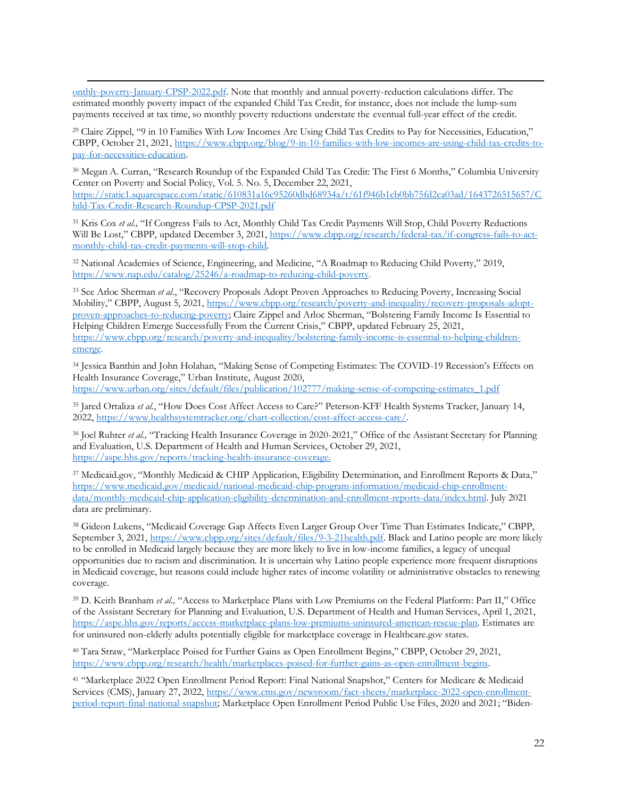[onthly-poverty-January-CPSP-2022.pdf.](https://static1.squarespace.com/static/610831a16c95260dbd68934a/t/620ec869096c78179c7c4d3c/1645135978087/Monthly-poverty-January-CPSP-2022.pdf) Note that monthly and annual poverty-reduction calculations differ. The estimated monthly poverty impact of the expanded Child Tax Credit, for instance, does not include the lump-sum payments received at tax time, so monthly poverty reductions understate the eventual full-year effect of the credit.

<sup>29</sup> Claire Zippel, "9 in 10 Families With Low Incomes Are Using Child Tax Credits to Pay for Necessities, Education," CBPP, October 21, 2021, [https://www.cbpp.org/blog/9-in-10-families-with-low-incomes-are-using-child-tax-credits-to](https://www.cbpp.org/blog/9-in-10-families-with-low-incomes-are-using-child-tax-credits-to-pay-for-necessities-education)[pay-for-necessities-education.](https://www.cbpp.org/blog/9-in-10-families-with-low-incomes-are-using-child-tax-credits-to-pay-for-necessities-education) 

<sup>30</sup> Megan A. Curran, "Research Roundup of the Expanded Child Tax Credit: The First 6 Months," Columbia University Center on Poverty and Social Policy, Vol. 5. No. 5, December 22, 2021, [https://static1.squarespace.com/static/610831a16c95260dbd68934a/t/61f946b1cb0bb75fd2ca03ad/1643726515657/C](https://static1.squarespace.com/static/610831a16c95260dbd68934a/t/61f946b1cb0bb75fd2ca03ad/1643726515657/Child-Tax-Credit-Research-Roundup-CPSP-2021.pdf) [hild-Tax-Credit-Research-Roundup-CPSP-2021.pdf](https://static1.squarespace.com/static/610831a16c95260dbd68934a/t/61f946b1cb0bb75fd2ca03ad/1643726515657/Child-Tax-Credit-Research-Roundup-CPSP-2021.pdf)

<sup>31</sup> Kris Cox *et al.,* "If Congress Fails to Act, Monthly Child Tax Credit Payments Will Stop, Child Poverty Reductions Will Be Lost," CBPP, updated December 3, 2021[, https://www.cbpp.org/research/federal-tax/if-congress-fails-to-act](https://www.cbpp.org/research/federal-tax/if-congress-fails-to-act-monthly-child-tax-credit-payments-will-stop-child)[monthly-child-tax-credit-payments-will-stop-child](https://www.cbpp.org/research/federal-tax/if-congress-fails-to-act-monthly-child-tax-credit-payments-will-stop-child)*.*

<sup>32</sup> National Academies of Science, Engineering, and Medicine, "A Roadmap to Reducing Child Poverty," 2019, [https://www.nap.edu/catalog/25246/a-roadmap-to-reducing-child-poverty.](https://www.nap.edu/catalog/25246/a-roadmap-to-reducing-child-poverty)

<sup>33</sup> See Arloc Sherman *et al*., "Recovery Proposals Adopt Proven Approaches to Reducing Poverty, Increasing Social Mobility," CBPP, August 5, 2021, [https://www.cbpp.org/research/poverty-and-inequality/recovery-proposals-adopt](https://www.cbpp.org/research/poverty-and-inequality/recovery-proposals-adopt-proven-approaches-to-reducing-poverty)[proven-approaches-to-reducing-poverty](https://www.cbpp.org/research/poverty-and-inequality/recovery-proposals-adopt-proven-approaches-to-reducing-poverty); Claire Zippel and Arloc Sherman, "Bolstering Family Income Is Essential to Helping Children Emerge Successfully From the Current Crisis," CBPP, updated February 25, 2021, [https://www.cbpp.org/research/poverty-and-inequality/bolstering-family-income-is-essential-to-helping-children](https://www.cbpp.org/research/poverty-and-inequality/bolstering-family-income-is-essential-to-helping-children-emerge)[emerge.](https://www.cbpp.org/research/poverty-and-inequality/bolstering-family-income-is-essential-to-helping-children-emerge)

<sup>34</sup> Jessica Banthin and John Holahan, "Making Sense of Competing Estimates: The COVID-19 Recession's Effects on Health Insurance Coverage," Urban Institute, August 2020, [https://www.urban.org/sites/default/files/publication/102777/making-sense-of-competing-estimates\\_1.pdf](https://www.urban.org/sites/default/files/publication/102777/making-sense-of-competing-estimates_1.pdf)

<sup>35</sup> Jared Ortaliza *et al.*, "How Does Cost Affect Access to Care?" Peterson-KFF Health Systems Tracker, January 14, 2022[, https://www.healthsystemtracker.org/chart-collection/cost-affect-access-care/.](https://www.healthsystemtracker.org/chart-collection/cost-affect-access-care/)

<sup>36</sup> Joel Ruhter *et al.*, "Tracking Health Insurance Coverage in 2020-2021," Office of the Assistant Secretary for Planning and Evaluation, U.S. Department of Health and Human Services, October 29, 2021, [https://aspe.hhs.gov/reports/tracking-health-insurance-coverage.](https://aspe.hhs.gov/reports/tracking-health-insurance-coverage)

<sup>37</sup> Medicaid.gov, "Monthly Medicaid & CHIP Application, Eligibility Determination, and Enrollment Reports & Data," [https://www.medicaid.gov/medicaid/national-medicaid-chip-program-information/medicaid-chip-enrollment](https://www.medicaid.gov/medicaid/national-medicaid-chip-program-information/medicaid-chip-enrollment-data/monthly-medicaid-chip-application-eligibility-determination-and-enrollment-reports-data/index.html)[data/monthly-medicaid-chip-application-eligibility-determination-and-enrollment-reports-data/index.html.](https://www.medicaid.gov/medicaid/national-medicaid-chip-program-information/medicaid-chip-enrollment-data/monthly-medicaid-chip-application-eligibility-determination-and-enrollment-reports-data/index.html) July 2021 data are preliminary.

<sup>38</sup> Gideon Lukens, "Medicaid Coverage Gap Affects Even Larger Group Over Time Than Estimates Indicate," CBPP, September 3, 2021, [https://www.cbpp.org/sites/default/files/9-3-21health.pdf.](https://www.cbpp.org/sites/default/files/9-3-21health.pdf) Black and Latino people are more likely to be enrolled in Medicaid largely because they are more likely to live in low-income families, a legacy of unequal opportunities due to racism and discrimination. It is uncertain why Latino people experience more frequent disruptions in Medicaid coverage, but reasons could include higher rates of income volatility or administrative obstacles to renewing coverage.

<sup>39</sup> D. Keith Branham *et al.,* "Access to Marketplace Plans with Low Premiums on the Federal Platform: Part II," Office of the Assistant Secretary for Planning and Evaluation, U.S. Department of Health and Human Services, April 1, 2021, [https://aspe.hhs.gov/reports/access-marketplace-plans-low-premiums-uninsured-american-rescue-plan.](https://aspe.hhs.gov/reports/access-marketplace-plans-low-premiums-uninsured-american-rescue-plan) Estimates are for uninsured non-elderly adults potentially eligible for marketplace coverage in Healthcare.gov states.

<sup>40</sup> Tara Straw, "Marketplace Poised for Further Gains as Open Enrollment Begins," CBPP, October 29, 2021, [https://www.cbpp.org/research/health/marketplaces-poised-for-further-gains-as-open-enrollment-begins.](https://www.cbpp.org/research/health/marketplaces-poised-for-further-gains-as-open-enrollment-begins)

<sup>41</sup> "Marketplace 2022 Open Enrollment Period Report: Final National Snapshot," Centers for Medicare & Medicaid Services (CMS), January 27, 2022[, https://www.cms.gov/newsroom/fact-sheets/marketplace-2022-open-enrollment](https://www.cms.gov/newsroom/fact-sheets/marketplace-2022-open-enrollment-period-report-final-national-snapshot)[period-report-final-national-snapshot;](https://www.cms.gov/newsroom/fact-sheets/marketplace-2022-open-enrollment-period-report-final-national-snapshot) Marketplace Open Enrollment Period Public Use Files, 2020 and 2021; "Biden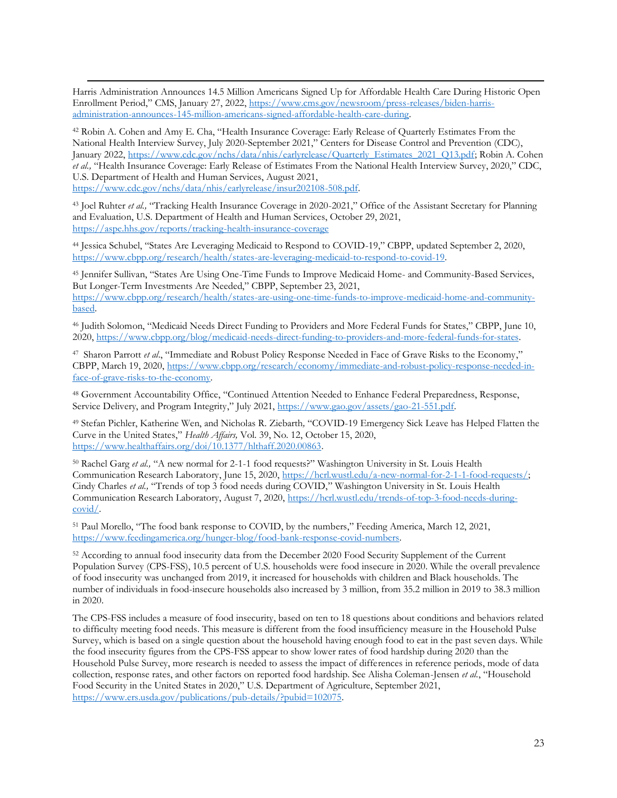Harris Administration Announces 14.5 Million Americans Signed Up for Affordable Health Care During Historic Open Enrollment Period," CMS, January 27, 2022, [https://www.cms.gov/newsroom/press-releases/biden-harris](https://www.cms.gov/newsroom/press-releases/biden-harris-administration-announces-145-million-americans-signed-affordable-health-care-during)[administration-announces-145-million-americans-signed-affordable-health-care-during.](https://www.cms.gov/newsroom/press-releases/biden-harris-administration-announces-145-million-americans-signed-affordable-health-care-during)

<sup>42</sup> Robin A. Cohen and Amy E. Cha, "Health Insurance Coverage: Early Release of Quarterly Estimates From the National Health Interview Survey, July 2020-September 2021," Centers for Disease Control and Prevention (CDC), January 2022, [https://www.cdc.gov/nchs/data/nhis/earlyrelease/Quarterly\\_Estimates\\_2021\\_Q13.pdf;](https://www.cdc.gov/nchs/data/nhis/earlyrelease/Quarterly_Estimates_2021_Q13.pdf) Robin A. Cohen *et al.,* "Health Insurance Coverage: Early Release of Estimates From the National Health Interview Survey, 2020," CDC, U.S. Department of Health and Human Services, August 2021, [https://www.cdc.gov/nchs/data/nhis/earlyrelease/insur202108-508.pdf.](https://www.cdc.gov/nchs/data/nhis/earlyrelease/insur202108-508.pdf)

<sup>43</sup> Joel Ruhter *et al.*, "Tracking Health Insurance Coverage in 2020-2021," Office of the Assistant Secretary for Planning and Evaluation, U.S. Department of Health and Human Services, October 29, 2021, <https://aspe.hhs.gov/reports/tracking-health-insurance-coverage>

<sup>44</sup> Jessica Schubel, "States Are Leveraging Medicaid to Respond to COVID-19," CBPP, updated September 2, 2020, [https://www.cbpp.org/research/health/states-are-leveraging-medicaid-to-respond-to-covid-19.](https://www.cbpp.org/research/health/states-are-leveraging-medicaid-to-respond-to-covid-19)

<sup>45</sup> Jennifer Sullivan, "States Are Using One-Time Funds to Improve Medicaid Home- and Community-Based Services, But Longer-Term Investments Are Needed," CBPP, September 23, 2021,

[https://www.cbpp.org/research/health/states-are-using-one-time-funds-to-improve-medicaid-home-and-community](https://www.cbpp.org/research/health/states-are-using-one-time-funds-to-improve-medicaid-home-and-community-based)[based.](https://www.cbpp.org/research/health/states-are-using-one-time-funds-to-improve-medicaid-home-and-community-based)

<sup>46</sup> Judith Solomon, "Medicaid Needs Direct Funding to Providers and More Federal Funds for States," CBPP, June 10, 2020[, https://www.cbpp.org/blog/medicaid-needs-direct-funding-to-providers-and-more-federal-funds-for-states.](https://www.cbpp.org/blog/medicaid-needs-direct-funding-to-providers-and-more-federal-funds-for-states)

<sup>47</sup> Sharon Parrott *et al*., "Immediate and Robust Policy Response Needed in Face of Grave Risks to the Economy," CBPP, March 19, 2020, [https://www.cbpp.org/research/economy/immediate-and-robust-policy-response-needed-in](https://www.cbpp.org/research/economy/immediate-and-robust-policy-response-needed-in-face-of-grave-risks-to-the-economy)[face-of-grave-risks-to-the-economy.](https://www.cbpp.org/research/economy/immediate-and-robust-policy-response-needed-in-face-of-grave-risks-to-the-economy)

<sup>48</sup> Government Accountability Office, "Continued Attention Needed to Enhance Federal Preparedness, Response, Service Delivery, and Program Integrity," July 2021, [https://www.gao.gov/assets/gao-21-551.pdf.](https://www.gao.gov/assets/gao-21-551.pdf)

<sup>49</sup> Stefan Pichler, Katherine Wen, and Nicholas R. Ziebarth*,* "COVID-19 Emergency Sick Leave has Helped Flatten the Curve in the United States," *Health Affairs,* Vol. 39, No. 12, October 15, 2020, [https://www.healthaffairs.org/doi/10.1377/hlthaff.2020.00863.](https://www.healthaffairs.org/doi/10.1377/hlthaff.2020.00863)

<sup>50</sup> Rachel Garg *et al.*, "A new normal for 2-1-1 food requests?" Washington University in St. Louis Health Communication Research Laboratory, June 15, 2020, [https://hcrl.wustl.edu/a-new-normal-for-2-1-1-food-requests/;](https://hcrl.wustl.edu/a-new-normal-for-2-1-1-food-requests/) Cindy Charles *et al.,* "Trends of top 3 food needs during COVID," Washington University in St. Louis Health Communication Research Laboratory, August 7, 2020, [https://hcrl.wustl.edu/trends-of-top-3-food-needs-during](https://hcrl.wustl.edu/trends-of-top-3-food-needs-during-covid/)[covid/.](https://hcrl.wustl.edu/trends-of-top-3-food-needs-during-covid/)

<sup>51</sup> Paul Morello, "The food bank response to COVID, by the numbers," Feeding America, March 12, 2021, [https://www.feedingamerica.org/hunger-blog/food-bank-response-covid-numbers.](https://www.feedingamerica.org/hunger-blog/food-bank-response-covid-numbers)

<sup>52</sup> According to annual food insecurity data from the December 2020 Food Security Supplement of the Current Population Survey (CPS-FSS), 10.5 percent of U.S. households were food insecure in 2020. While the overall prevalence of food insecurity was unchanged from 2019, it increased for households with children and Black households. The number of individuals in food-insecure households also increased by 3 million, from 35.2 million in 2019 to 38.3 million in 2020.

The CPS-FSS includes a measure of food insecurity, based on ten to 18 questions about conditions and behaviors related to difficulty meeting food needs. This measure is different from the food insufficiency measure in the Household Pulse Survey, which is based on a single question about the household having enough food to eat in the past seven days. While the food insecurity figures from the CPS-FSS appear to show lower rates of food hardship during 2020 than the Household Pulse Survey, more research is needed to assess the impact of differences in reference periods, mode of data collection, response rates, and other factors on reported food hardship. See Alisha Coleman-Jensen *et al.*, "Household Food Security in the United States in 2020," U.S. Department of Agriculture, September 2021, [https://www.ers.usda.gov/publications/pub-details/?pubid=102075.](https://www.ers.usda.gov/publications/pub-details/?pubid=102075)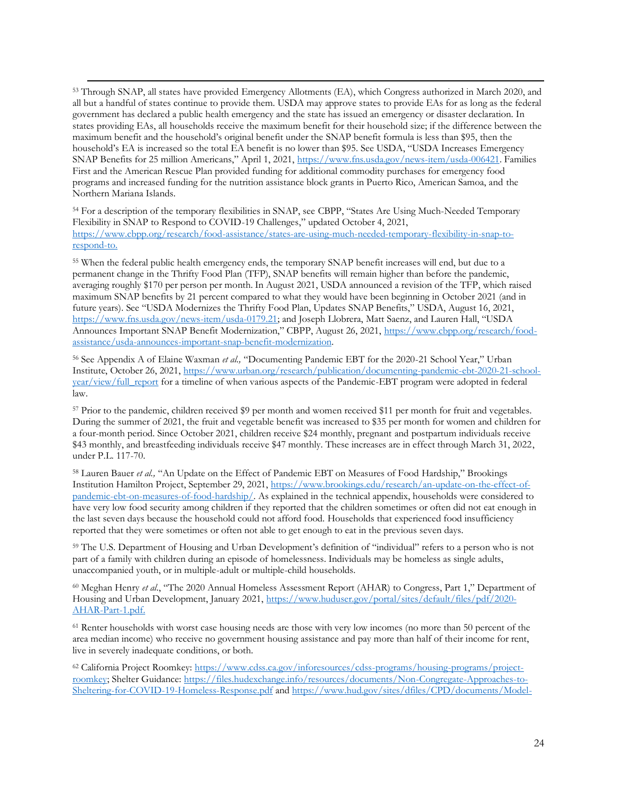<sup>53</sup> Through SNAP, all states have provided Emergency Allotments (EA), which Congress authorized in March 2020, and all but a handful of states continue to provide them. USDA may approve states to provide EAs for as long as the federal government has declared a public health emergency and the state has issued an emergency or disaster declaration. In states providing EAs, all households receive the maximum benefit for their household size; if the difference between the maximum benefit and the household's original benefit under the SNAP benefit formula is less than \$95, then the household's EA is increased so the total EA benefit is no lower than \$95. See USDA, "USDA Increases Emergency SNAP Benefits for 25 million Americans," April 1, 2021, [https://www.fns.usda.gov/news-item/usda-006421.](https://www.fns.usda.gov/news-item/usda-006421) Families First and the American Rescue Plan provided funding for additional commodity purchases for emergency food programs and increased funding for the nutrition assistance block grants in Puerto Rico, American Samoa, and the Northern Mariana Islands.

<sup>54</sup> For a description of the temporary flexibilities in SNAP, see CBPP, "States Are Using Much-Needed Temporary Flexibility in SNAP to Respond to COVID-19 Challenges," updated October 4, 2021, [https://www.cbpp.org/research/food-assistance/states-are-using-much-needed-temporary-flexibility-in-snap-to](https://www.cbpp.org/research/food-assistance/states-are-using-much-needed-temporary-flexibility-in-snap-to-respond-to)[respond-to.](https://www.cbpp.org/research/food-assistance/states-are-using-much-needed-temporary-flexibility-in-snap-to-respond-to)

<sup>55</sup> When the federal public health emergency ends, the temporary SNAP benefit increases will end, but due to a permanent change in the Thrifty Food Plan (TFP), SNAP benefits will remain higher than before the pandemic, averaging roughly \$170 per person per month. In August 2021, USDA announced a revision of the TFP, which raised maximum SNAP benefits by 21 percent compared to what they would have been beginning in October 2021 (and in future years). See "USDA Modernizes the Thrifty Food Plan, Updates SNAP Benefits," USDA, August 16, 2021, [https://www.fns.usda.gov/news-item/usda-0179.21;](https://www.fns.usda.gov/news-item/usda-0179.21) and Joseph Llobrera, Matt Saenz, and Lauren Hall, "USDA Announces Important SNAP Benefit Modernization," CBPP, August 26, 2021, [https://www.cbpp.org/research/food](https://www.cbpp.org/research/food-assistance/usda-announces-important-snap-benefit-modernization)[assistance/usda-announces-important-snap-benefit-modernization.](https://www.cbpp.org/research/food-assistance/usda-announces-important-snap-benefit-modernization)

<sup>56</sup> See Appendix A of Elaine Waxman *et al.,* "Documenting Pandemic EBT for the 2020-21 School Year," Urban Institute, October 26, 2021[, https://www.urban.org/research/publication/documenting-pandemic-ebt-2020-21-school](https://www.urban.org/research/publication/documenting-pandemic-ebt-2020-21-school-year/view/full_report)[year/view/full\\_report](https://www.urban.org/research/publication/documenting-pandemic-ebt-2020-21-school-year/view/full_report) for a timeline of when various aspects of the Pandemic-EBT program were adopted in federal law.

<sup>57</sup> Prior to the pandemic, children received \$9 per month and women received \$11 per month for fruit and vegetables. During the summer of 2021, the fruit and vegetable benefit was increased to \$35 per month for women and children for a four-month period. Since October 2021, children receive \$24 monthly, pregnant and postpartum individuals receive \$43 monthly, and breastfeeding individuals receive \$47 monthly. These increases are in effect through March 31, 2022, under P.L. 117-70.

<sup>58</sup> Lauren Bauer *et al.*, "An Update on the Effect of Pandemic EBT on Measures of Food Hardship," Brookings Institution Hamilton Project, September 29, 2021[, https://www.brookings.edu/research/an-update-on-the-effect-of](https://www.brookings.edu/research/an-update-on-the-effect-of-pandemic-ebt-on-measures-of-food-hardship/)[pandemic-ebt-on-measures-of-food-hardship/.](https://www.brookings.edu/research/an-update-on-the-effect-of-pandemic-ebt-on-measures-of-food-hardship/) As explained in the technical appendix, households were considered to have very low food security among children if they reported that the children sometimes or often did not eat enough in the last seven days because the household could not afford food. Households that experienced food insufficiency reported that they were sometimes or often not able to get enough to eat in the previous seven days.

<sup>59</sup> The U.S. Department of Housing and Urban Development's definition of "individual" refers to a person who is not part of a family with children during an episode of homelessness. Individuals may be homeless as single adults, unaccompanied youth, or in multiple-adult or multiple-child households.

<sup>60</sup> Meghan Henry *et al*., "The 2020 Annual Homeless Assessment Report (AHAR) to Congress, Part 1," Department of Housing and Urban Development, January 2021, [https://www.huduser.gov/portal/sites/default/files/pdf/2020-](https://www.huduser.gov/portal/sites/default/files/pdf/2020-AHAR-Part-1.pdf) [AHAR-Part-1.pdf.](https://www.huduser.gov/portal/sites/default/files/pdf/2020-AHAR-Part-1.pdf)

<sup>61</sup> Renter households with worst case housing needs are those with very low incomes (no more than 50 percent of the area median income) who receive no government housing assistance and pay more than half of their income for rent, live in severely inadequate conditions, or both.

<sup>62</sup> California Project Roomkey: [https://www.cdss.ca.gov/inforesources/cdss-programs/housing-programs/project](https://www.cdss.ca.gov/inforesources/cdss-programs/housing-programs/project-roomkey)[roomkey;](https://www.cdss.ca.gov/inforesources/cdss-programs/housing-programs/project-roomkey) Shelter Guidance: [https://files.hudexchange.info/resources/documents/Non-Congregate-Approaches-to-](https://files.hudexchange.info/resources/documents/Non-Congregate-Approaches-to-Sheltering-for-COVID-19-Homeless-Response.pdf)[Sheltering-for-COVID-19-Homeless-Response.pdf](https://files.hudexchange.info/resources/documents/Non-Congregate-Approaches-to-Sheltering-for-COVID-19-Homeless-Response.pdf) an[d https://www.hud.gov/sites/dfiles/CPD/documents/Model-](https://www.hud.gov/sites/dfiles/CPD/documents/Model-Transitions-Document_FINAL.pdf)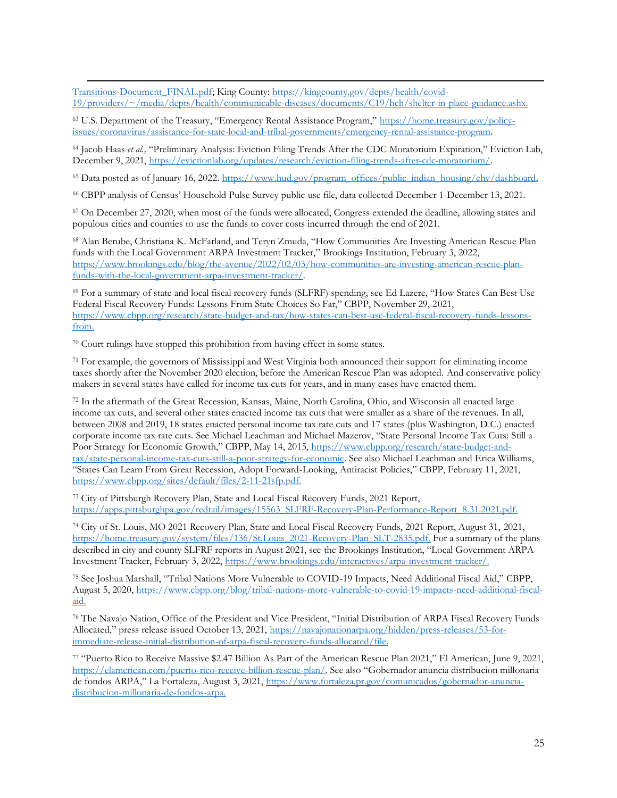[Transitions-Document\\_FINAL.pdf;](https://www.hud.gov/sites/dfiles/CPD/documents/Model-Transitions-Document_FINAL.pdf) King County: [https://kingcounty.gov/depts/health/covid-](https://kingcounty.gov/depts/health/covid-19/providers/~/media/depts/health/communicable-diseases/documents/C19/hch/shelter-in-place-guidance.ashx)[19/providers/~/media/depts/health/communicable-diseases/documents/C19/hch/shelter-in-place-guidance.ashx.](https://kingcounty.gov/depts/health/covid-19/providers/~/media/depts/health/communicable-diseases/documents/C19/hch/shelter-in-place-guidance.ashx)

<sup>63</sup> U.S. Department of the Treasury, "Emergency Rental Assistance Program," [https://home.treasury.gov/policy](https://home.treasury.gov/policy-issues/coronavirus/assistance-for-state-local-and-tribal-governments/emergency-rental-assistance-program)[issues/coronavirus/assistance-for-state-local-and-tribal-governments/emergency-rental-assistance-program.](https://home.treasury.gov/policy-issues/coronavirus/assistance-for-state-local-and-tribal-governments/emergency-rental-assistance-program)

<sup>64</sup> Jacob Haas *et al.,* "Preliminary Analysis: Eviction Filing Trends After the CDC Moratorium Expiration," Eviction Lab, December 9, 2021, [https://evictionlab.org/updates/research/eviction-filing-trends-after-cdc-moratorium/.](https://evictionlab.org/updates/research/eviction-filing-trends-after-cdc-moratorium/)

<sup>65</sup> Data posted as of January 16, 2022. [https://www.hud.gov/program\\_offices/public\\_indian\\_housing/ehv/dashboard.](https://www.hud.gov/program_offices/public_indian_housing/ehv/dashboard)

<sup>66</sup> CBPP analysis of Census' Household Pulse Survey public use file, data collected December 1-December 13, 2021.

 $67$  On December 27, 2020, when most of the funds were allocated, Congress extended the deadline, allowing states and populous cities and counties to use the funds to cover costs incurred through the end of 2021.

<sup>68</sup> Alan Berube, Christiana K. McFarland, and Teryn Zmuda, "How Communities Are Investing American Rescue Plan funds with the Local Government ARPA Investment Tracker," Brookings Institution, February 3, 2022, [https://www.brookings.edu/blog/the-avenue/2022/02/03/how-communities-are-investing-american-rescue-plan](https://www.brookings.edu/blog/the-avenue/2022/02/03/how-communities-are-investing-american-rescue-plan-funds-with-the-local-government-arpa-investment-tracker/)[funds-with-the-local-government-arpa-investment-tracker/.](https://www.brookings.edu/blog/the-avenue/2022/02/03/how-communities-are-investing-american-rescue-plan-funds-with-the-local-government-arpa-investment-tracker/)

<sup>69</sup> For a summary of state and local fiscal recovery funds (SLFRF) spending, see Ed Lazere, "How States Can Best Use Federal Fiscal Recovery Funds: Lessons From State Choices So Far," CBPP, November 29, 2021, [https://www.cbpp.org/research/state-budget-and-tax/how-states-can-best-use-federal-fiscal-recovery-funds-lessons](https://www.cbpp.org/research/state-budget-and-tax/how-states-can-best-use-federal-fiscal-recovery-funds-lessons-from)[from.](https://www.cbpp.org/research/state-budget-and-tax/how-states-can-best-use-federal-fiscal-recovery-funds-lessons-from)

 $70$  Court rulings have stopped this prohibition from having effect in some states.

<sup>71</sup> For example, the governors of Mississippi and West Virginia both announced their support for eliminating income taxes shortly after the November 2020 election, before the American Rescue Plan was adopted. And conservative policy makers in several states have called for income tax cuts for years, and in many cases have enacted them.

<sup>72</sup> In the aftermath of the Great Recession, Kansas, Maine, North Carolina, Ohio, and Wisconsin all enacted large income tax cuts, and several other states enacted income tax cuts that were smaller as a share of the revenues. In all, between 2008 and 2019, 18 states enacted personal income tax rate cuts and 17 states (plus Washington, D.C.) enacted corporate income tax rate cuts. See Michael Leachman and Michael Mazerov, "State Personal Income Tax Cuts: Still a Poor Strategy for Economic Growth," CBPP, May 14, 2015, [https://www.cbpp.org/research/state-budget-and](https://www.cbpp.org/research/state-budget-and-tax/state-personal-income-tax-cuts-still-a-poor-strategy-for-economic)[tax/state-personal-income-tax-cuts-still-a-poor-strategy-for-economic.](https://www.cbpp.org/research/state-budget-and-tax/state-personal-income-tax-cuts-still-a-poor-strategy-for-economic) See also Michael Leachman and Erica Williams, "States Can Learn From Great Recession, Adopt Forward-Looking, Antiracist Policies," CBPP, February 11, 2021, https://www.cbpp.org/sites/default/files/2-11-21sfp.pdf.

<sup>73</sup> City of Pittsburgh Recovery Plan, State and Local Fiscal Recovery Funds, 2021 Report, https://apps.pittsburghpa.gov/redtail/images/15563\_SLFRF-Recovery-Plan-Performance-Report\_8.31.2021.pdf.

<sup>74</sup> City of St. Louis, MO 2021 Recovery Plan, State and Local Fiscal Recovery Funds, 2021 Report, August 31, 2021, [https://home.treasury.gov/system/files/136/St.Louis\\_2021-Recovery-Plan\\_SLT-2835.pdf.](https://home.treasury.gov/system/files/136/St.Louis_2021-Recovery-Plan_SLT-2835.pdf) For a summary of the plans described in city and county SLFRF reports in August 2021, see the Brookings Institution, "Local Government ARPA Investment Tracker, February 3, 2022, [https://www.brookings.edu/interactives/arpa-investment-tracker/.](https://www.brookings.edu/interactives/arpa-investment-tracker/)

<sup>75</sup> See Joshua Marshall, "Tribal Nations More Vulnerable to COVID-19 Impacts, Need Additional Fiscal Aid," CBPP, August 5, 2020, [https://www.cbpp.org/blog/tribal-nations-more-vulnerable-to-covid-19-impacts-need-additional-fiscal](https://www.cbpp.org/blog/tribal-nations-more-vulnerable-to-covid-19-impacts-need-additional-fiscal-aid)[aid.](https://www.cbpp.org/blog/tribal-nations-more-vulnerable-to-covid-19-impacts-need-additional-fiscal-aid)

<sup>76</sup> The Navajo Nation, Office of the President and Vice President, "Initial Distribution of ARPA Fiscal Recovery Funds Allocated," press release issued October 13, 2021, [https://navajonationarpa.org/hidden/press-releases/53-for](https://navajonationarpa.org/hidden/press-releases/53-for-immediate-release-initial-distribution-of-arpa-fiscal-recovery-funds-allocated/file)[immediate-release-initial-distribution-of-arpa-fiscal-recovery-funds-allocated/file.](https://navajonationarpa.org/hidden/press-releases/53-for-immediate-release-initial-distribution-of-arpa-fiscal-recovery-funds-allocated/file)

<sup>77</sup> "Puerto Rico to Receive Massive \$2.47 Billion As Part of the American Rescue Plan 2021," El American, June 9, 2021, [https://elamerican.com/puerto-rico-receive-billion-rescue-plan/.](https://elamerican.com/puerto-rico-receive-billion-rescue-plan/) See also "Gobernador anuncia distribucion millonaria de fondos ARPA," La Fortaleza, August 3, 2021[, https://www.fortaleza.pr.gov/comunicados/gobernador-anuncia](https://www.fortaleza.pr.gov/comunicados/gobernador-anuncia-distribucion-millonaria-de-fondos-arpa)[distribucion-millonaria-de-fondos-arpa.](https://www.fortaleza.pr.gov/comunicados/gobernador-anuncia-distribucion-millonaria-de-fondos-arpa)